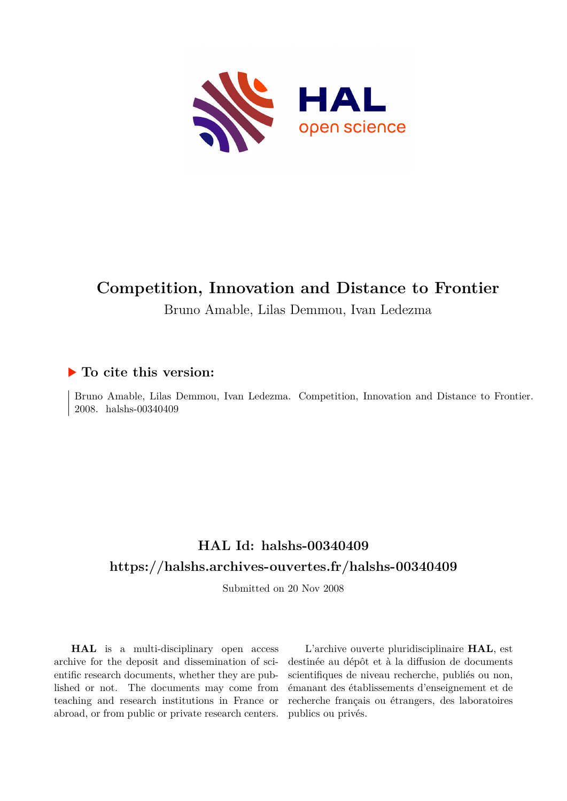

# **Competition, Innovation and Distance to Frontier**

Bruno Amable, Lilas Demmou, Ivan Ledezma

## **To cite this version:**

Bruno Amable, Lilas Demmou, Ivan Ledezma. Competition, Innovation and Distance to Frontier. 2008. halshs-00340409

# **HAL Id: halshs-00340409 <https://halshs.archives-ouvertes.fr/halshs-00340409>**

Submitted on 20 Nov 2008

**HAL** is a multi-disciplinary open access archive for the deposit and dissemination of scientific research documents, whether they are published or not. The documents may come from teaching and research institutions in France or abroad, or from public or private research centers.

L'archive ouverte pluridisciplinaire **HAL**, est destinée au dépôt et à la diffusion de documents scientifiques de niveau recherche, publiés ou non, émanant des établissements d'enseignement et de recherche français ou étrangers, des laboratoires publics ou privés.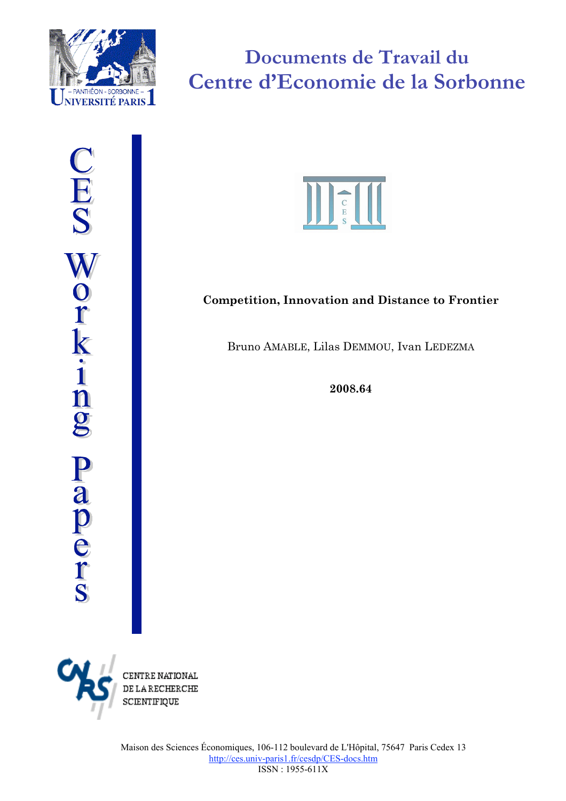

# **Documents de Travail du Centre d'Economie de la Sorbonne**



# **Competition, Innovation and Distance to Frontier**

Bruno AMABLE, Lilas DEMMOU, Ivan LEDEZMA

**2008.64**



CENTRE NATIONAL **DE LA RECHERCHE SCIENTIFIQUE**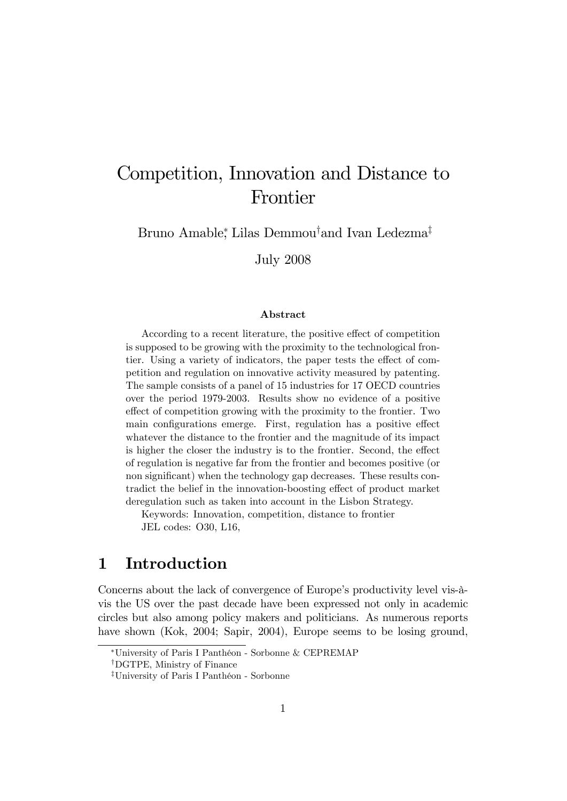# Competition, Innovation and Distance to Frontier

Bruno Amable,<sup>\*</sup> Lilas Demmou<sup>†</sup>and Ivan Ledezma<sup>‡</sup>

July 2008

#### Abstract

According to a recent literature, the positive effect of competition is supposed to be growing with the proximity to the technological frontier. Using a variety of indicators, the paper tests the effect of competition and regulation on innovative activity measured by patenting. The sample consists of a panel of 15 industries for 17 OECD countries over the period 1979-2003. Results show no evidence of a positive effect of competition growing with the proximity to the frontier. Two main configurations emerge. First, regulation has a positive effect whatever the distance to the frontier and the magnitude of its impact is higher the closer the industry is to the frontier. Second, the effect of regulation is negative far from the frontier and becomes positive (or non significant) when the technology gap decreases. These results contradict the belief in the innovation-boosting effect of product market deregulation such as taken into account in the Lisbon Strategy.

Keywords: Innovation, competition, distance to frontier JEL codes: O30, L16,

# 1 Introduction

Concerns about the lack of convergence of Europe's productivity level vis- $\hat{a}$ vis the US over the past decade have been expressed not only in academic circles but also among policy makers and politicians. As numerous reports have shown (Kok, 2004; Sapir, 2004), Europe seems to be losing ground,

<sup>\*</sup>University of Paris I Panthéon - Sorbonne & CEPREMAP

<sup>&</sup>lt;sup>†</sup>DGTPE, Ministry of Finance

<sup>&</sup>lt;sup>‡</sup>University of Paris I Panthéon - Sorbonne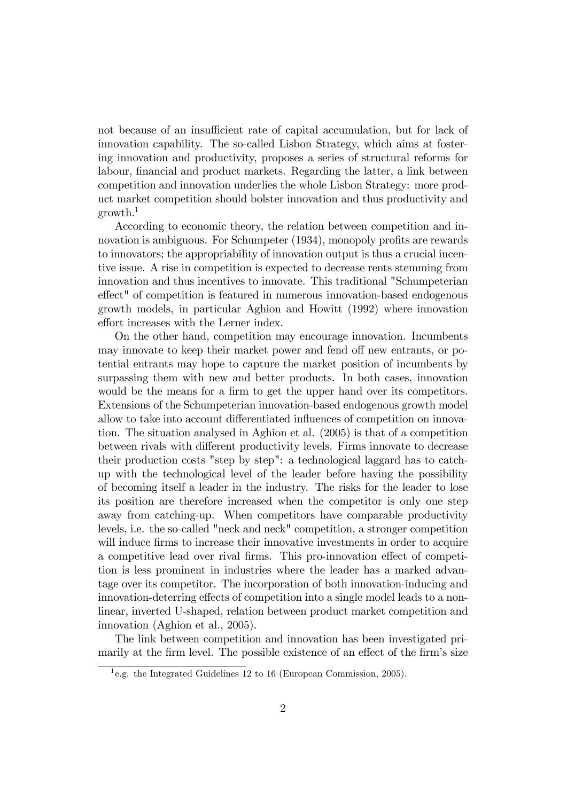not because of an insufficient rate of capital accumulation, but for lack of innovation capability. The so-called Lisbon Strategy, which aims at fostering innovation and productivity, proposes a series of structural reforms for labour, financial and product markets. Regarding the latter, a link between competition and innovation underlies the whole Lisbon Strategy: more product market competition should bolster innovation and thus productivity and  $growth.<sup>1</sup>$ 

According to economic theory, the relation between competition and innovation is ambiguous. For Schumpeter (1934), monopoly profits are rewards to innovators; the appropriability of innovation output is thus a crucial incentive issue. A rise in competition is expected to decrease rents stemming from innovation and thus incentives to innovate. This traditional "Schumpeterian effect" of competition is featured in numerous innovation-based endogenous growth models, in particular Aghion and Howitt (1992) where innovation effort increases with the Lerner index.

On the other hand, competition may encourage innovation. Incumbents may innovate to keep their market power and fend off new entrants, or potential entrants may hope to capture the market position of incumbents by surpassing them with new and better products. In both cases, innovation would be the means for a firm to get the upper hand over its competitors. Extensions of the Schumpeterian innovation-based endogenous growth model allow to take into account differentiated influences of competition on innovation. The situation analysed in Aghion et al. (2005) is that of a competition between rivals with different productivity levels. Firms innovate to decrease their production costs "step by step": a technological laggard has to catchup with the technological level of the leader before having the possibility of becoming itself a leader in the industry. The risks for the leader to lose its position are therefore increased when the competitor is only one step away from catching-up. When competitors have comparable productivity levels, i.e. the so-called "neck and neck" competition, a stronger competition will induce firms to increase their innovative investments in order to acquire a competitive lead over rival firms. This pro-innovation effect of competition is less prominent in industries where the leader has a marked advantage over its competitor. The incorporation of both innovation-inducing and innovation-deterring effects of competition into a single model leads to a nonlinear, inverted U-shaped, relation between product market competition and innovation (Aghion et al., 2005).

The link between competition and innovation has been investigated primarily at the firm level. The possible existence of an effect of the firm's size

<sup>&</sup>lt;sup>1</sup>e.g. the Integrated Guidelines 12 to 16 (European Commission, 2005).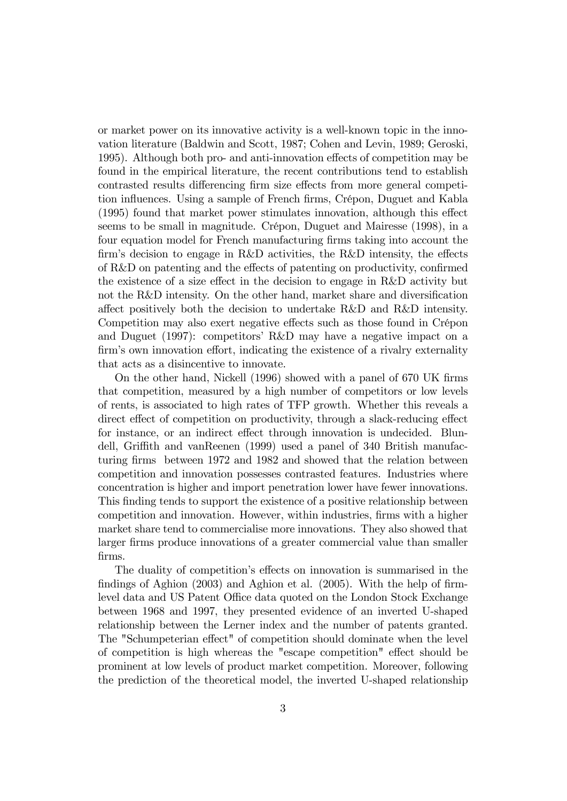or market power on its innovative activity is a well-known topic in the innovation literature (Baldwin and Scott, 1987; Cohen and Levin, 1989; Geroski, 1995). Although both pro- and anti-innovation effects of competition may be found in the empirical literature, the recent contributions tend to establish contrasted results differencing firm size effects from more general competition influences. Using a sample of French firms, Crépon, Duguet and Kabla  $(1995)$  found that market power stimulates innovation, although this effect seems to be small in magnitude. Crépon, Duguet and Mairesse (1998), in a four equation model for French manufacturing firms taking into account the firm's decision to engage in R&D activities, the R&D intensity, the effects of  $R&D$  on patenting and the effects of patenting on productivity, confirmed the existence of a size effect in the decision to engage in  $R&D$  activity but not the  $R&D$  intensity. On the other hand, market share and diversification affect positively both the decision to undertake R&D and R&D intensity. Competition may also exert negative effects such as those found in Crépon and Duguet (1997): competitorsí R&D may have a negative impact on a firm's own innovation effort, indicating the existence of a rivalry externality that acts as a disincentive to innovate.

On the other hand, Nickell (1996) showed with a panel of 670 UK firms that competition, measured by a high number of competitors or low levels of rents, is associated to high rates of TFP growth. Whether this reveals a direct effect of competition on productivity, through a slack-reducing effect for instance, or an indirect effect through innovation is undecided. Blundell, Griffith and vanReenen  $(1999)$  used a panel of 340 British manufacturing Örms between 1972 and 1982 and showed that the relation between competition and innovation possesses contrasted features. Industries where concentration is higher and import penetration lower have fewer innovations. This finding tends to support the existence of a positive relationship between competition and innovation. However, within industries, Örms with a higher market share tend to commercialise more innovations. They also showed that larger firms produce innovations of a greater commercial value than smaller Örms.

The duality of competition's effects on innovation is summarised in the findings of Aghion  $(2003)$  and Aghion et al.  $(2005)$ . With the help of firmlevel data and US Patent Office data quoted on the London Stock Exchange between 1968 and 1997, they presented evidence of an inverted U-shaped relationship between the Lerner index and the number of patents granted. The "Schumpeterian effect" of competition should dominate when the level of competition is high whereas the "escape competition" effect should be prominent at low levels of product market competition. Moreover, following the prediction of the theoretical model, the inverted U-shaped relationship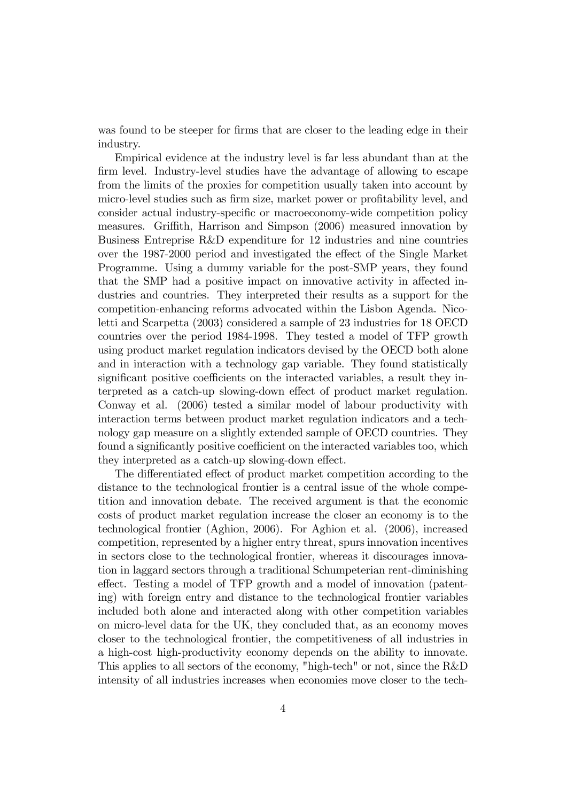was found to be steeper for firms that are closer to the leading edge in their industry.

Empirical evidence at the industry level is far less abundant than at the firm level. Industry-level studies have the advantage of allowing to escape from the limits of the proxies for competition usually taken into account by micro-level studies such as firm size, market power or profitability level, and consider actual industry-specific or macroeconomy-wide competition policy measures. Griffith, Harrison and Simpson (2006) measured innovation by Business Entreprise R&D expenditure for 12 industries and nine countries over the 1987-2000 period and investigated the effect of the Single Market Programme. Using a dummy variable for the post-SMP years, they found that the SMP had a positive impact on innovative activity in affected industries and countries. They interpreted their results as a support for the competition-enhancing reforms advocated within the Lisbon Agenda. Nicoletti and Scarpetta (2003) considered a sample of 23 industries for 18 OECD countries over the period 1984-1998. They tested a model of TFP growth using product market regulation indicators devised by the OECD both alone and in interaction with a technology gap variable. They found statistically significant positive coefficients on the interacted variables, a result they interpreted as a catch-up slowing-down effect of product market regulation. Conway et al. (2006) tested a similar model of labour productivity with interaction terms between product market regulation indicators and a technology gap measure on a slightly extended sample of OECD countries. They found a significantly positive coefficient on the interacted variables too, which they interpreted as a catch-up slowing-down effect.

The differentiated effect of product market competition according to the distance to the technological frontier is a central issue of the whole competition and innovation debate. The received argument is that the economic costs of product market regulation increase the closer an economy is to the technological frontier (Aghion, 2006). For Aghion et al. (2006), increased competition, represented by a higher entry threat, spurs innovation incentives in sectors close to the technological frontier, whereas it discourages innovation in laggard sectors through a traditional Schumpeterian rent-diminishing effect. Testing a model of TFP growth and a model of innovation (patenting) with foreign entry and distance to the technological frontier variables included both alone and interacted along with other competition variables on micro-level data for the UK, they concluded that, as an economy moves closer to the technological frontier, the competitiveness of all industries in a high-cost high-productivity economy depends on the ability to innovate. This applies to all sectors of the economy, "high-tech" or not, since the R&D intensity of all industries increases when economies move closer to the tech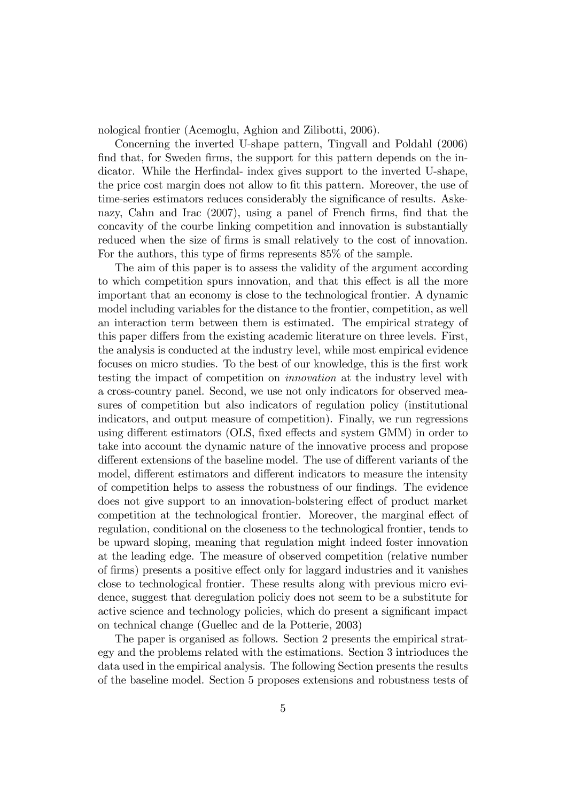nological frontier (Acemoglu, Aghion and Zilibotti, 2006).

Concerning the inverted U-shape pattern, Tingvall and Poldahl (2006) find that, for Sweden firms, the support for this pattern depends on the indicator. While the Herfindal- index gives support to the inverted U-shape, the price cost margin does not allow to fit this pattern. Moreover, the use of time-series estimators reduces considerably the significance of results. Askenazy, Cahn and Irac (2007), using a panel of French firms, find that the concavity of the courbe linking competition and innovation is substantially reduced when the size of firms is small relatively to the cost of innovation. For the authors, this type of firms represents  $85\%$  of the sample.

The aim of this paper is to assess the validity of the argument according to which competition spurs innovation, and that this effect is all the more important that an economy is close to the technological frontier. A dynamic model including variables for the distance to the frontier, competition, as well an interaction term between them is estimated. The empirical strategy of this paper differs from the existing academic literature on three levels. First, the analysis is conducted at the industry level, while most empirical evidence focuses on micro studies. To the best of our knowledge, this is the first work testing the impact of competition on innovation at the industry level with a cross-country panel. Second, we use not only indicators for observed measures of competition but also indicators of regulation policy (institutional indicators, and output measure of competition). Finally, we run regressions using different estimators (OLS, fixed effects and system GMM) in order to take into account the dynamic nature of the innovative process and propose different extensions of the baseline model. The use of different variants of the model, different estimators and different indicators to measure the intensity of competition helps to assess the robustness of our Öndings. The evidence does not give support to an innovation-bolstering effect of product market competition at the technological frontier. Moreover, the marginal effect of regulation, conditional on the closeness to the technological frontier, tends to be upward sloping, meaning that regulation might indeed foster innovation at the leading edge. The measure of observed competition (relative number of firms) presents a positive effect only for laggard industries and it vanishes close to technological frontier. These results along with previous micro evidence, suggest that deregulation policiy does not seem to be a substitute for active science and technology policies, which do present a significant impact on technical change (Guellec and de la Potterie, 2003)

The paper is organised as follows. Section 2 presents the empirical strategy and the problems related with the estimations. Section 3 intrioduces the data used in the empirical analysis. The following Section presents the results of the baseline model. Section 5 proposes extensions and robustness tests of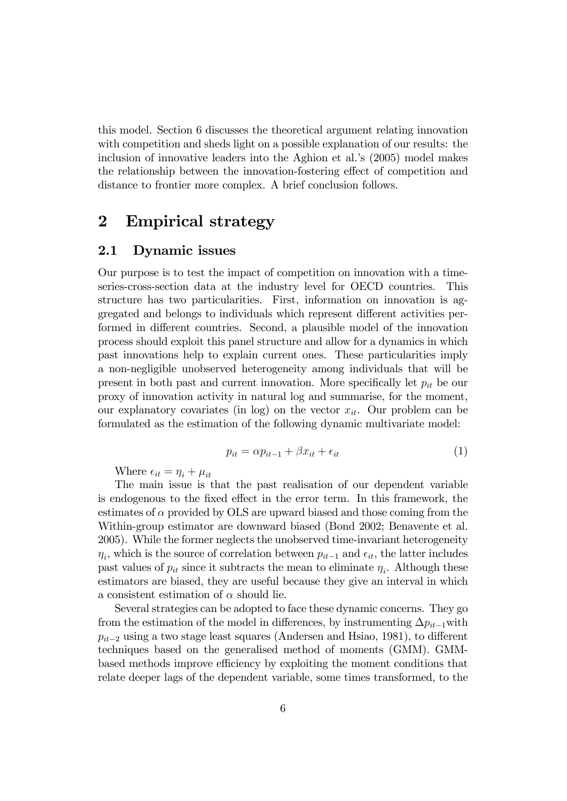this model. Section 6 discusses the theoretical argument relating innovation with competition and sheds light on a possible explanation of our results: the inclusion of innovative leaders into the Aghion et al.'s (2005) model makes the relationship between the innovation-fostering effect of competition and distance to frontier more complex. A brief conclusion follows.

# 2 Empirical strategy

#### 2.1 Dynamic issues

Our purpose is to test the impact of competition on innovation with a timeseries-cross-section data at the industry level for OECD countries. This structure has two particularities. First, information on innovation is aggregated and belongs to individuals which represent different activities performed in different countries. Second, a plausible model of the innovation process should exploit this panel structure and allow for a dynamics in which past innovations help to explain current ones. These particularities imply a non-negligible unobserved heterogeneity among individuals that will be present in both past and current innovation. More specifically let  $p_{it}$  be our proxy of innovation activity in natural log and summarise, for the moment, our explanatory covariates (in log) on the vector  $x_{it}$ . Our problem can be formulated as the estimation of the following dynamic multivariate model:

$$
p_{it} = \alpha p_{it-1} + \beta x_{it} + \epsilon_{it} \tag{1}
$$

Where  $\epsilon_{it} = \eta_i + \mu_{it}$ 

The main issue is that the past realisation of our dependent variable is endogenous to the fixed effect in the error term. In this framework, the estimates of  $\alpha$  provided by OLS are upward biased and those coming from the Within-group estimator are downward biased (Bond 2002; Benavente et al. 2005). While the former neglects the unobserved time-invariant heterogeneity  $\eta_i$ , which is the source of correlation between  $p_{it-1}$  and  $\epsilon_{it}$ , the latter includes past values of  $p_{it}$  since it subtracts the mean to eliminate  $\eta_i$ . Although these estimators are biased, they are useful because they give an interval in which a consistent estimation of  $\alpha$  should lie.

Several strategies can be adopted to face these dynamic concerns. They go from the estimation of the model in differences, by instrumenting  $\Delta p_{it-1}$  with  $p_{it-2}$  using a two stage least squares (Andersen and Hsiao, 1981), to different techniques based on the generalised method of moments (GMM). GMMbased methods improve efficiency by exploiting the moment conditions that relate deeper lags of the dependent variable, some times transformed, to the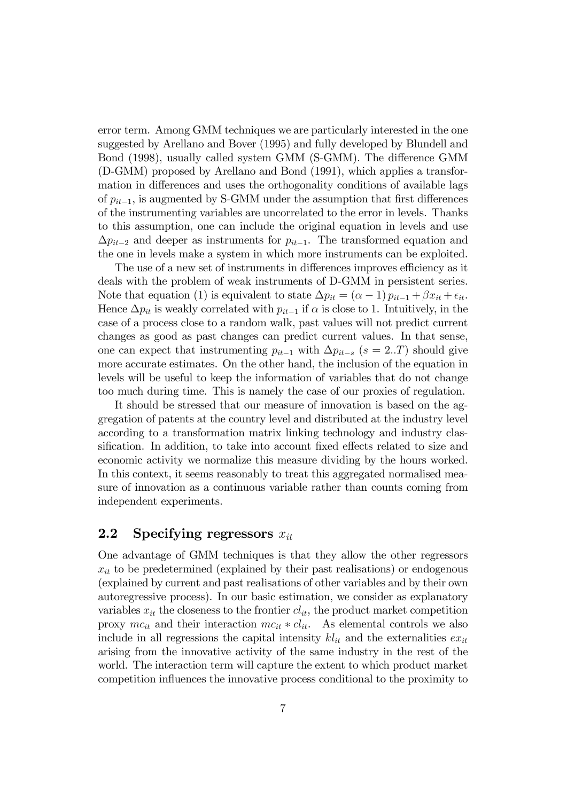error term. Among GMM techniques we are particularly interested in the one suggested by Arellano and Bover (1995) and fully developed by Blundell and Bond (1998), usually called system GMM (S-GMM). The difference GMM (D-GMM) proposed by Arellano and Bond (1991), which applies a transformation in differences and uses the orthogonality conditions of available lags of  $p_{it-1}$ , is augmented by S-GMM under the assumption that first differences of the instrumenting variables are uncorrelated to the error in levels. Thanks to this assumption, one can include the original equation in levels and use  $\Delta p_{it-2}$  and deeper as instruments for  $p_{it-1}$ . The transformed equation and the one in levels make a system in which more instruments can be exploited.

The use of a new set of instruments in differences improves efficiency as it deals with the problem of weak instruments of D-GMM in persistent series. Note that equation (1) is equivalent to state  $\Delta p_{it} = (\alpha - 1) p_{it-1} + \beta x_{it} + \epsilon_{it}$ . Hence  $\Delta p_{it}$  is weakly correlated with  $p_{it-1}$  if  $\alpha$  is close to 1. Intuitively, in the case of a process close to a random walk, past values will not predict current changes as good as past changes can predict current values. In that sense, one can expect that instrumenting  $p_{it-1}$  with  $\Delta p_{it-s}$  (s = 2..T) should give more accurate estimates. On the other hand, the inclusion of the equation in levels will be useful to keep the information of variables that do not change too much during time. This is namely the case of our proxies of regulation.

It should be stressed that our measure of innovation is based on the aggregation of patents at the country level and distributed at the industry level according to a transformation matrix linking technology and industry classification. In addition, to take into account fixed effects related to size and economic activity we normalize this measure dividing by the hours worked. In this context, it seems reasonably to treat this aggregated normalised measure of innovation as a continuous variable rather than counts coming from independent experiments.

#### 2.2 Specifying regressors  $x_{it}$

One advantage of GMM techniques is that they allow the other regressors  $x_{it}$  to be predetermined (explained by their past realisations) or endogenous (explained by current and past realisations of other variables and by their own autoregressive process). In our basic estimation, we consider as explanatory variables  $x_{it}$  the closeness to the frontier  $cl_{it}$ , the product market competition proxy  $mc_{it}$  and their interaction  $mc_{it} * cl_{it}$ . As elemental controls we also include in all regressions the capital intensity  $kl_{it}$  and the externalities  $ex_{it}$ arising from the innovative activity of the same industry in the rest of the world. The interaction term will capture the extent to which product market competition ináuences the innovative process conditional to the proximity to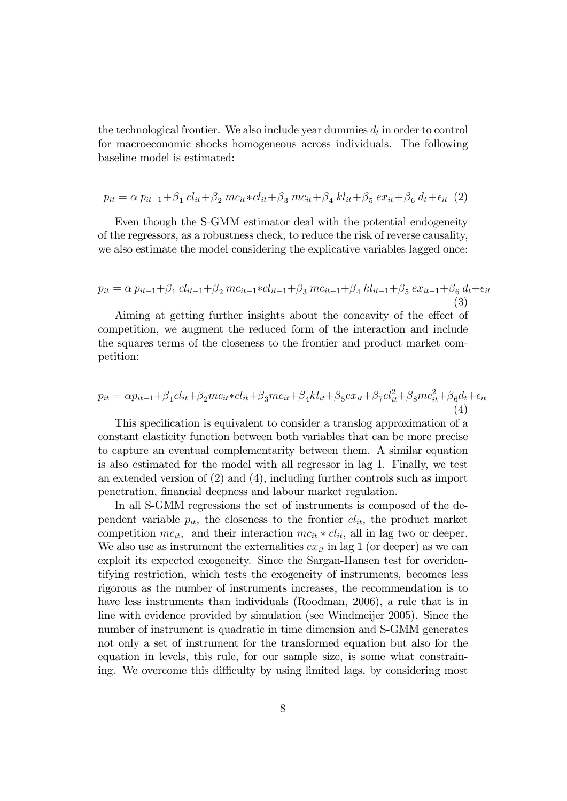the technological frontier. We also include year dummies  $d_t$  in order to control for macroeconomic shocks homogeneous across individuals. The following baseline model is estimated:

$$
p_{it} = \alpha p_{it-1} + \beta_1 cl_{it} + \beta_2 mc_{it} * cl_{it} + \beta_3 mc_{it} + \beta_4 kl_{it} + \beta_5 ex_{it} + \beta_6 d_t + \epsilon_{it} (2)
$$

Even though the S-GMM estimator deal with the potential endogeneity of the regressors, as a robustness check, to reduce the risk of reverse causality, we also estimate the model considering the explicative variables lagged once:

$$
p_{it} = \alpha p_{it-1} + \beta_1 cl_{it-1} + \beta_2 mc_{it-1} * cl_{it-1} + \beta_3 mc_{it-1} + \beta_4 kl_{it-1} + \beta_5 ex_{it-1} + \beta_6 d_t + \epsilon_{it}
$$
\n(3)

Aiming at getting further insights about the concavity of the effect of competition, we augment the reduced form of the interaction and include the squares terms of the closeness to the frontier and product market competition:

$$
p_{it} = \alpha p_{it-1} + \beta_1 cl_{it} + \beta_2 m c_{it} * cl_{it} + \beta_3 m c_{it} + \beta_4 kl_{it} + \beta_5 ex_{it} + \beta_7 cl_{it}^2 + \beta_8 m c_{it}^2 + \beta_6 d_t + \epsilon_{it}
$$
\n(4)

This specification is equivalent to consider a translog approximation of a constant elasticity function between both variables that can be more precise to capture an eventual complementarity between them. A similar equation is also estimated for the model with all regressor in lag 1. Finally, we test an extended version of (2) and (4), including further controls such as import penetration, financial deepness and labour market regulation.

In all S-GMM regressions the set of instruments is composed of the dependent variable  $p_{it}$ , the closeness to the frontier  $cl_{it}$ , the product market competition  $mc_{it}$ , and their interaction  $mc_{it} * cl_{it}$ , all in lag two or deeper. We also use as instrument the externalities  $ex_{it}$  in lag 1 (or deeper) as we can exploit its expected exogeneity. Since the Sargan-Hansen test for overidentifying restriction, which tests the exogeneity of instruments, becomes less rigorous as the number of instruments increases, the recommendation is to have less instruments than individuals (Roodman, 2006), a rule that is in line with evidence provided by simulation (see Windmeijer 2005). Since the number of instrument is quadratic in time dimension and S-GMM generates not only a set of instrument for the transformed equation but also for the equation in levels, this rule, for our sample size, is some what constraining. We overcome this difficulty by using limited lags, by considering most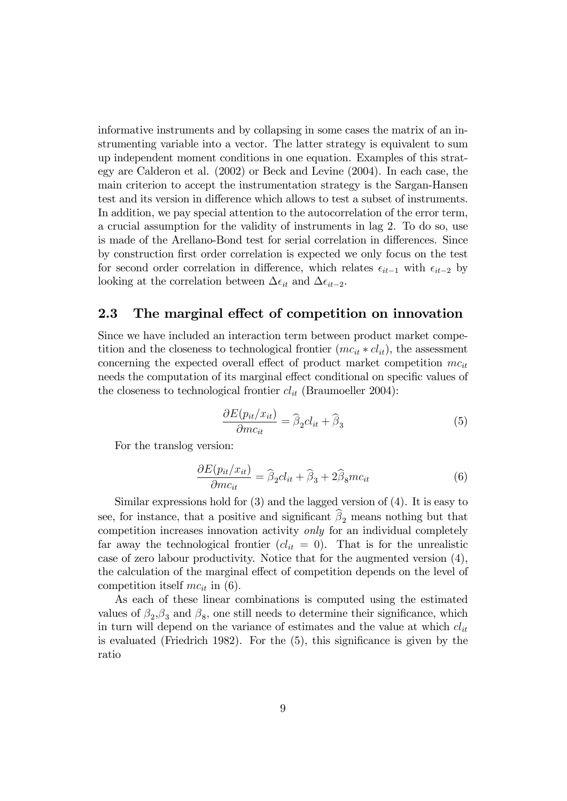informative instruments and by collapsing in some cases the matrix of an instrumenting variable into a vector. The latter strategy is equivalent to sum up independent moment conditions in one equation. Examples of this strategy are Calderon et al. (2002) or Beck and Levine (2004). In each case, the main criterion to accept the instrumentation strategy is the Sargan-Hansen test and its version in difference which allows to test a subset of instruments. In addition, we pay special attention to the autocorrelation of the error term, a crucial assumption for the validity of instruments in lag 2. To do so, use is made of the Arellano-Bond test for serial correlation in differences. Since by construction Örst order correlation is expected we only focus on the test for second order correlation in difference, which relates  $\epsilon_{it-1}$  with  $\epsilon_{it-2}$  by looking at the correlation between  $\Delta \epsilon_{it}$  and  $\Delta \epsilon_{it-2}$ .

### 2.3 The marginal effect of competition on innovation

Since we have included an interaction term between product market competition and the closeness to technological frontier  $(mc_{it} * cl_{it})$ , the assessment concerning the expected overall effect of product market competition  $mc_{it}$ needs the computation of its marginal effect conditional on specific values of the closeness to technological frontier  $cl_{it}$  (Braumoeller 2004):

$$
\frac{\partial E(p_{it}/x_{it})}{\partial mc_{it}} = \widehat{\beta}_2 cl_{it} + \widehat{\beta}_3 \tag{5}
$$

For the translog version:

$$
\frac{\partial E(p_{it}/x_{it})}{\partial mc_{it}} = \widehat{\beta}_2 cl_{it} + \widehat{\beta}_3 + 2\widehat{\beta}_8 mc_{it}
$$
(6)

Similar expressions hold for (3) and the lagged version of (4). It is easy to see, for instance, that a positive and significant  $\beta_2$  means nothing but that competition increases innovation activity only for an individual completely far away the technological frontier  $(cl_{it} = 0)$ . That is for the unrealistic case of zero labour productivity. Notice that for the augmented version (4), the calculation of the marginal effect of competition depends on the level of competition itself  $mc_{it}$  in (6).

As each of these linear combinations is computed using the estimated values of  $\beta_2$ ,  $\beta_3$  and  $\beta_8$ , one still needs to determine their significance, which in turn will depend on the variance of estimates and the value at which  $cl_{it}$ is evaluated (Friedrich 1982). For the  $(5)$ , this significance is given by the ratio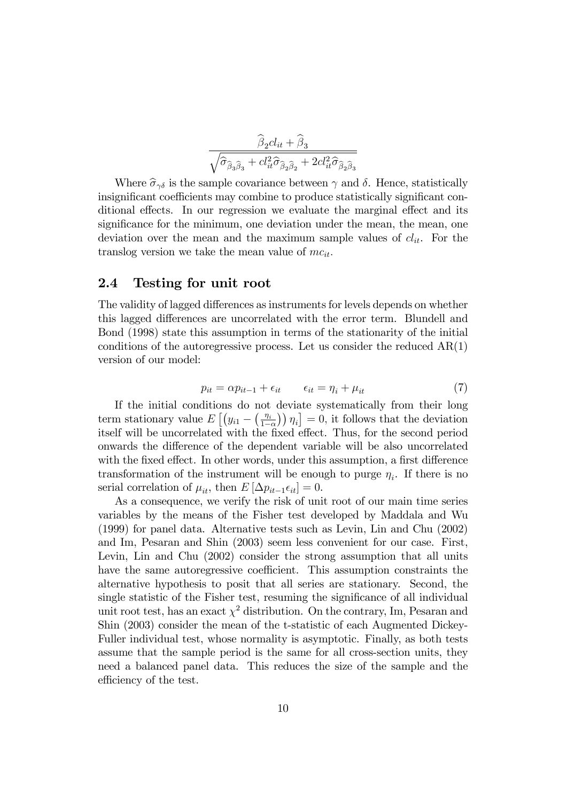$$
\frac{\widehat{\beta}_2 cl_{it} + \widehat{\beta}_3}{\sqrt{\widehat{\sigma}_{\widehat{\beta}_3 \widehat{\beta}_3} + cl_{it}^2 \widehat{\sigma}_{\widehat{\beta}_2 \widehat{\beta}_2} + 2cl_{it}^2 \widehat{\sigma}_{\widehat{\beta}_2 \widehat{\beta}_3}}}
$$

Where  $\hat{\sigma}_{\gamma\delta}$  is the sample covariance between  $\gamma$  and  $\delta$ . Hence, statistically insignificant coefficients may combine to produce statistically significant conditional effects. In our regression we evaluate the marginal effect and its significance for the minimum, one deviation under the mean, the mean, one deviation over the mean and the maximum sample values of  $cl_{it}$ . For the translog version we take the mean value of  $mc_{it}$ .

#### 2.4 Testing for unit root

The validity of lagged differences as instruments for levels depends on whether this lagged differences are uncorrelated with the error term. Blundell and Bond (1998) state this assumption in terms of the stationarity of the initial conditions of the autoregressive process. Let us consider the reduced  $AR(1)$ version of our model:

$$
p_{it} = \alpha p_{it-1} + \epsilon_{it} \qquad \epsilon_{it} = \eta_i + \mu_{it} \tag{7}
$$

If the initial conditions do not deviate systematically from their long term stationary value  $E\left[\left(y_{i1} - \left(\frac{\eta_i}{1 -}\right)\right)\right]$  $\left(\frac{\eta_i}{1-\alpha}\right)\eta_i\right] = 0$ , it follows that the deviation itself will be uncorrelated with the fixed effect. Thus, for the second period onwards the difference of the dependent variable will be also uncorrelated with the fixed effect. In other words, under this assumption, a first difference transformation of the instrument will be enough to purge  $\eta_i$ . If there is no serial correlation of  $\mu_{it}$ , then  $E[\Delta p_{it-1} \epsilon_{it}] = 0$ .

As a consequence, we verify the risk of unit root of our main time series variables by the means of the Fisher test developed by Maddala and Wu (1999) for panel data. Alternative tests such as Levin, Lin and Chu (2002) and Im, Pesaran and Shin (2003) seem less convenient for our case. First, Levin, Lin and Chu (2002) consider the strong assumption that all units have the same autoregressive coefficient. This assumption constraints the alternative hypothesis to posit that all series are stationary. Second, the single statistic of the Fisher test, resuming the significance of all individual unit root test, has an exact  $\chi^2$  distribution. On the contrary, Im, Pesaran and Shin (2003) consider the mean of the t-statistic of each Augmented Dickey-Fuller individual test, whose normality is asymptotic. Finally, as both tests assume that the sample period is the same for all cross-section units, they need a balanced panel data. This reduces the size of the sample and the efficiency of the test.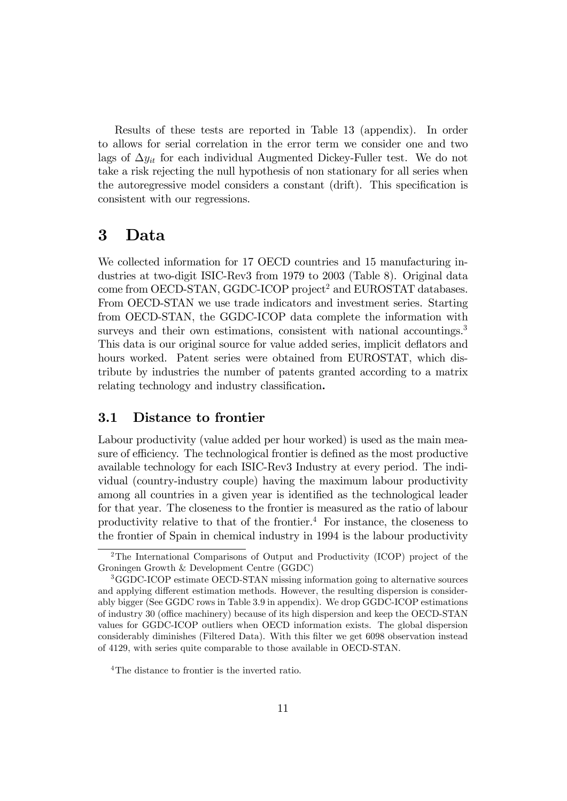Results of these tests are reported in Table 13 (appendix). In order to allows for serial correlation in the error term we consider one and two lags of  $\Delta y_{it}$  for each individual Augmented Dickey-Fuller test. We do not take a risk rejecting the null hypothesis of non stationary for all series when the autoregressive model considers a constant (drift). This specification is consistent with our regressions.

# 3 Data

We collected information for 17 OECD countries and 15 manufacturing industries at two-digit ISIC-Rev3 from 1979 to 2003 (Table 8). Original data come from OECD-STAN, GGDC-ICOP project<sup>2</sup> and EUROSTAT databases. From OECD-STAN we use trade indicators and investment series. Starting from OECD-STAN, the GGDC-ICOP data complete the information with surveys and their own estimations, consistent with national accountings.<sup>3</sup> This data is our original source for value added series, implicit deflators and hours worked. Patent series were obtained from EUROSTAT, which distribute by industries the number of patents granted according to a matrix relating technology and industry classification.

### 3.1 Distance to frontier

Labour productivity (value added per hour worked) is used as the main measure of efficiency. The technological frontier is defined as the most productive available technology for each ISIC-Rev3 Industry at every period. The individual (country-industry couple) having the maximum labour productivity among all countries in a given year is identified as the technological leader for that year. The closeness to the frontier is measured as the ratio of labour productivity relative to that of the frontier.<sup>4</sup> For instance, the closeness to the frontier of Spain in chemical industry in 1994 is the labour productivity

<sup>2</sup>The International Comparisons of Output and Productivity (ICOP) project of the Groningen Growth & Development Centre (GGDC)

<sup>3</sup>GGDC-ICOP estimate OECD-STAN missing information going to alternative sources and applying different estimation methods. However, the resulting dispersion is considerably bigger (See GGDC rows in Table 3.9 in appendix). We drop GGDC-ICOP estimations of industry 30 (office machinery) because of its high dispersion and keep the OECD-STAN values for GGDC-ICOP outliers when OECD information exists. The global dispersion considerably diminishes (Filtered Data). With this Ölter we get 6098 observation instead of 4129, with series quite comparable to those available in OECD-STAN.

<sup>&</sup>lt;sup>4</sup>The distance to frontier is the inverted ratio.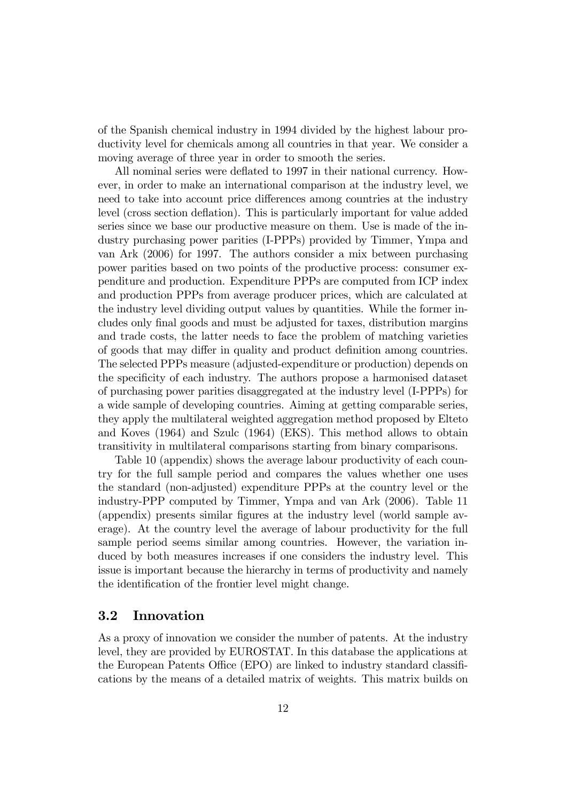of the Spanish chemical industry in 1994 divided by the highest labour productivity level for chemicals among all countries in that year. We consider a moving average of three year in order to smooth the series.

All nominal series were deflated to 1997 in their national currency. However, in order to make an international comparison at the industry level, we need to take into account price differences among countries at the industry level (cross section deflation). This is particularly important for value added series since we base our productive measure on them. Use is made of the industry purchasing power parities (I-PPPs) provided by Timmer, Ympa and van Ark (2006) for 1997. The authors consider a mix between purchasing power parities based on two points of the productive process: consumer expenditure and production. Expenditure PPPs are computed from ICP index and production PPPs from average producer prices, which are calculated at the industry level dividing output values by quantities. While the former includes only final goods and must be adjusted for taxes, distribution margins and trade costs, the latter needs to face the problem of matching varieties of goods that may differ in quality and product definition among countries. The selected PPPs measure (adjusted-expenditure or production) depends on the specificity of each industry. The authors propose a harmonised dataset of purchasing power parities disaggregated at the industry level (I-PPPs) for a wide sample of developing countries. Aiming at getting comparable series, they apply the multilateral weighted aggregation method proposed by Elteto and Koves (1964) and Szulc (1964) (EKS). This method allows to obtain transitivity in multilateral comparisons starting from binary comparisons.

Table 10 (appendix) shows the average labour productivity of each country for the full sample period and compares the values whether one uses the standard (non-adjusted) expenditure PPPs at the country level or the industry-PPP computed by Timmer, Ympa and van Ark (2006). Table 11 (appendix) presents similar figures at the industry level (world sample average). At the country level the average of labour productivity for the full sample period seems similar among countries. However, the variation induced by both measures increases if one considers the industry level. This issue is important because the hierarchy in terms of productivity and namely the identification of the frontier level might change.

#### 3.2 Innovation

As a proxy of innovation we consider the number of patents. At the industry level, they are provided by EUROSTAT. In this database the applications at the European Patents Office (EPO) are linked to industry standard classifications by the means of a detailed matrix of weights. This matrix builds on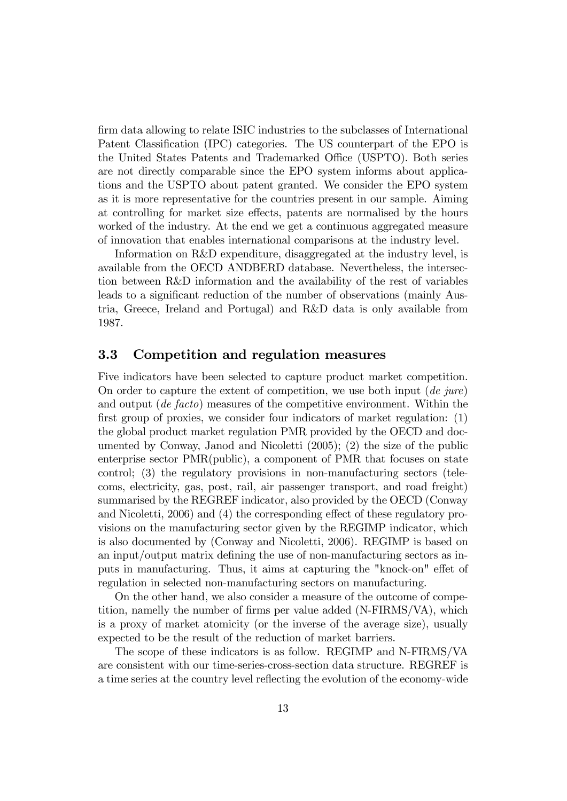firm data allowing to relate ISIC industries to the subclasses of International Patent Classification (IPC) categories. The US counterpart of the EPO is the United States Patents and Trademarked Office (USPTO). Both series are not directly comparable since the EPO system informs about applications and the USPTO about patent granted. We consider the EPO system as it is more representative for the countries present in our sample. Aiming at controlling for market size effects, patents are normalised by the hours worked of the industry. At the end we get a continuous aggregated measure of innovation that enables international comparisons at the industry level.

Information on R&D expenditure, disaggregated at the industry level, is available from the OECD ANDBERD database. Nevertheless, the intersection between R&D information and the availability of the rest of variables leads to a significant reduction of the number of observations (mainly Austria, Greece, Ireland and Portugal) and R&D data is only available from 1987.

#### 3.3 Competition and regulation measures

Five indicators have been selected to capture product market competition. On order to capture the extent of competition, we use both input  $(de\ jure)$ and output (de facto) measures of the competitive environment. Within the first group of proxies, we consider four indicators of market regulation:  $(1)$ the global product market regulation PMR provided by the OECD and documented by Conway, Janod and Nicoletti (2005); (2) the size of the public enterprise sector PMR(public), a component of PMR that focuses on state control; (3) the regulatory provisions in non-manufacturing sectors (telecoms, electricity, gas, post, rail, air passenger transport, and road freight) summarised by the REGREF indicator, also provided by the OECD (Conway and Nicoletti,  $2006$  and  $(4)$  the corresponding effect of these regulatory provisions on the manufacturing sector given by the REGIMP indicator, which is also documented by (Conway and Nicoletti, 2006). REGIMP is based on an input/output matrix defining the use of non-manufacturing sectors as inputs in manufacturing. Thus, it aims at capturing the "knock-on" effet of regulation in selected non-manufacturing sectors on manufacturing.

On the other hand, we also consider a measure of the outcome of competition, namelly the number of firms per value added  $(N-FIRMS/VA)$ , which is a proxy of market atomicity (or the inverse of the average size), usually expected to be the result of the reduction of market barriers.

The scope of these indicators is as follow. REGIMP and N-FIRMS/VA are consistent with our time-series-cross-section data structure. REGREF is a time series at the country level reflecting the evolution of the economy-wide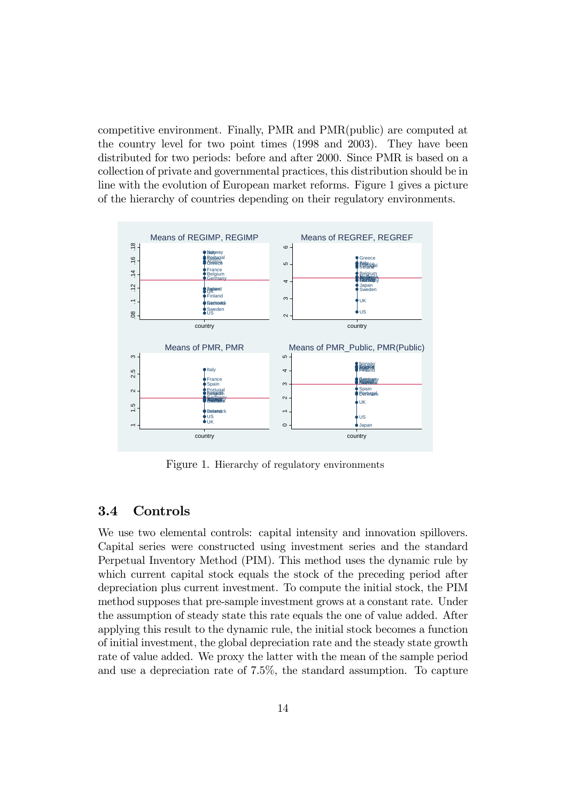competitive environment. Finally, PMR and PMR(public) are computed at the country level for two point times (1998 and 2003). They have been distributed for two periods: before and after 2000. Since PMR is based on a collection of private and governmental practices, this distribution should be in line with the evolution of European market reforms. Figure 1 gives a picture of the hierarchy of countries depending on their regulatory environments.



Figure 1. Hierarchy of regulatory environments

#### 3.4 Controls

We use two elemental controls: capital intensity and innovation spillovers. Capital series were constructed using investment series and the standard Perpetual Inventory Method (PIM). This method uses the dynamic rule by which current capital stock equals the stock of the preceding period after depreciation plus current investment. To compute the initial stock, the PIM method supposes that pre-sample investment grows at a constant rate. Under the assumption of steady state this rate equals the one of value added. After applying this result to the dynamic rule, the initial stock becomes a function of initial investment, the global depreciation rate and the steady state growth rate of value added. We proxy the latter with the mean of the sample period and use a depreciation rate of 7.5%, the standard assumption. To capture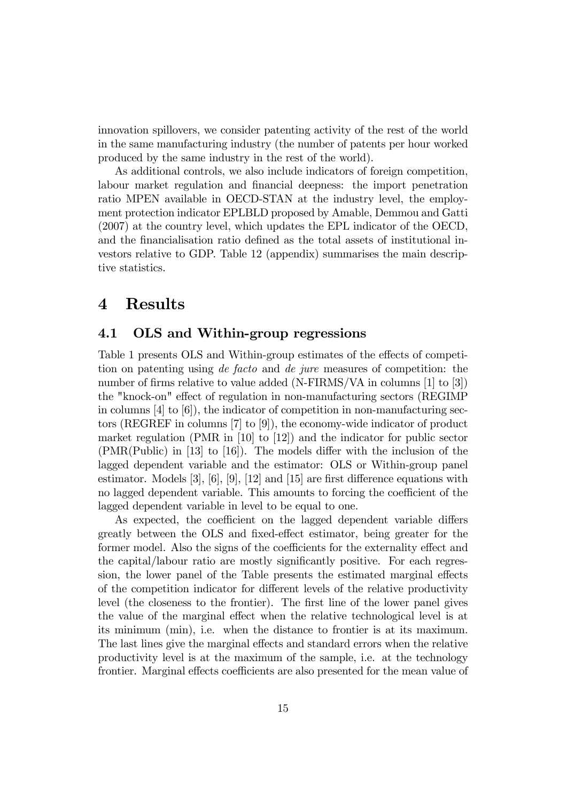innovation spillovers, we consider patenting activity of the rest of the world in the same manufacturing industry (the number of patents per hour worked produced by the same industry in the rest of the world).

As additional controls, we also include indicators of foreign competition, labour market regulation and financial deepness: the import penetration ratio MPEN available in OECD-STAN at the industry level, the employment protection indicator EPLBLD proposed by Amable, Demmou and Gatti (2007) at the country level, which updates the EPL indicator of the OECD, and the financialisation ratio defined as the total assets of institutional investors relative to GDP. Table 12 (appendix) summarises the main descriptive statistics.

# 4 Results

#### 4.1 OLS and Within-group regressions

Table 1 presents OLS and Within-group estimates of the effects of competition on patenting using de facto and de jure measures of competition: the number of firms relative to value added (N-FIRMS/VA in columns  $[1]$  to  $[3]$ ) the "knock-on" effect of regulation in non-manufacturing sectors (REGIMP) in columns  $[4]$  to  $[6]$ , the indicator of competition in non-manufacturing sectors (REGREF in columns [7] to [9]), the economy-wide indicator of product market regulation (PMR in [10] to [12]) and the indicator for public sector  $(PMR(Public)$  in [13] to [16]). The models differ with the inclusion of the lagged dependent variable and the estimator: OLS or Within-group panel estimator. Models  $[3]$ ,  $[6]$ ,  $[9]$ ,  $[12]$  and  $[15]$  are first difference equations with no lagged dependent variable. This amounts to forcing the coefficient of the lagged dependent variable in level to be equal to one.

As expected, the coefficient on the lagged dependent variable differs greatly between the OLS and fixed-effect estimator, being greater for the former model. Also the signs of the coefficients for the externality effect and the capital/labour ratio are mostly significantly positive. For each regression, the lower panel of the Table presents the estimated marginal effects of the competition indicator for different levels of the relative productivity level (the closeness to the frontier). The first line of the lower panel gives the value of the marginal effect when the relative technological level is at its minimum (min), i.e. when the distance to frontier is at its maximum. The last lines give the marginal effects and standard errors when the relative productivity level is at the maximum of the sample, i.e. at the technology frontier. Marginal effects coefficients are also presented for the mean value of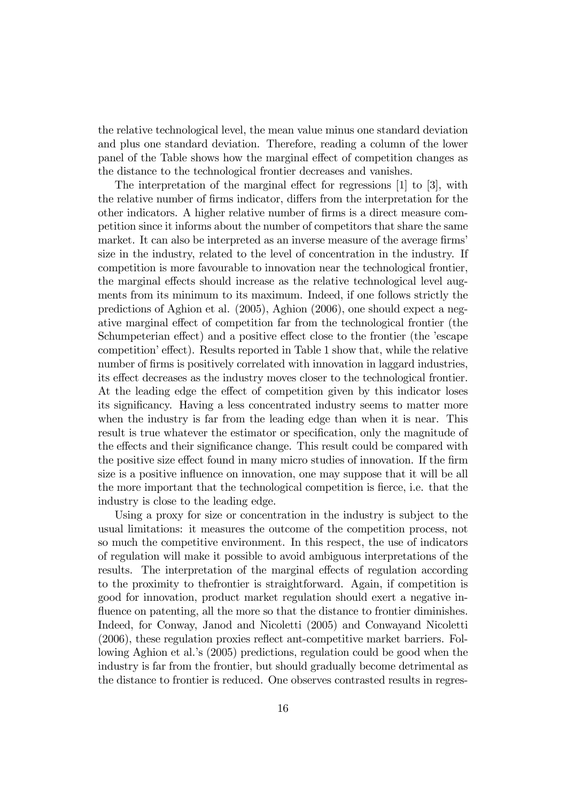the relative technological level, the mean value minus one standard deviation and plus one standard deviation. Therefore, reading a column of the lower panel of the Table shows how the marginal effect of competition changes as the distance to the technological frontier decreases and vanishes.

The interpretation of the marginal effect for regressions  $[1]$  to  $[3]$ , with the relative number of firms indicator, differs from the interpretation for the other indicators. A higher relative number of firms is a direct measure competition since it informs about the number of competitors that share the same market. It can also be interpreted as an inverse measure of the average firms' size in the industry, related to the level of concentration in the industry. If competition is more favourable to innovation near the technological frontier, the marginal effects should increase as the relative technological level augments from its minimum to its maximum. Indeed, if one follows strictly the predictions of Aghion et al. (2005), Aghion (2006), one should expect a negative marginal effect of competition far from the technological frontier (the Schumpeterian effect) and a positive effect close to the frontier (the 'escape competition' effect). Results reported in Table 1 show that, while the relative number of firms is positively correlated with innovation in laggard industries, its effect decreases as the industry moves closer to the technological frontier. At the leading edge the effect of competition given by this indicator loses its significancy. Having a less concentrated industry seems to matter more when the industry is far from the leading edge than when it is near. This result is true whatever the estimator or specification, only the magnitude of the effects and their significance change. This result could be compared with the positive size effect found in many micro studies of innovation. If the firm size is a positive influence on innovation, one may suppose that it will be all the more important that the technological competition is fierce, i.e. that the industry is close to the leading edge.

Using a proxy for size or concentration in the industry is subject to the usual limitations: it measures the outcome of the competition process, not so much the competitive environment. In this respect, the use of indicators of regulation will make it possible to avoid ambiguous interpretations of the results. The interpretation of the marginal effects of regulation according to the proximity to thefrontier is straightforward. Again, if competition is good for innovation, product market regulation should exert a negative influence on patenting, all the more so that the distance to frontier diminishes. Indeed, for Conway, Janod and Nicoletti (2005) and Conwayand Nicoletti (2006), these regulation proxies reflect ant-competitive market barriers. Following Aghion et al.'s (2005) predictions, regulation could be good when the industry is far from the frontier, but should gradually become detrimental as the distance to frontier is reduced. One observes contrasted results in regres-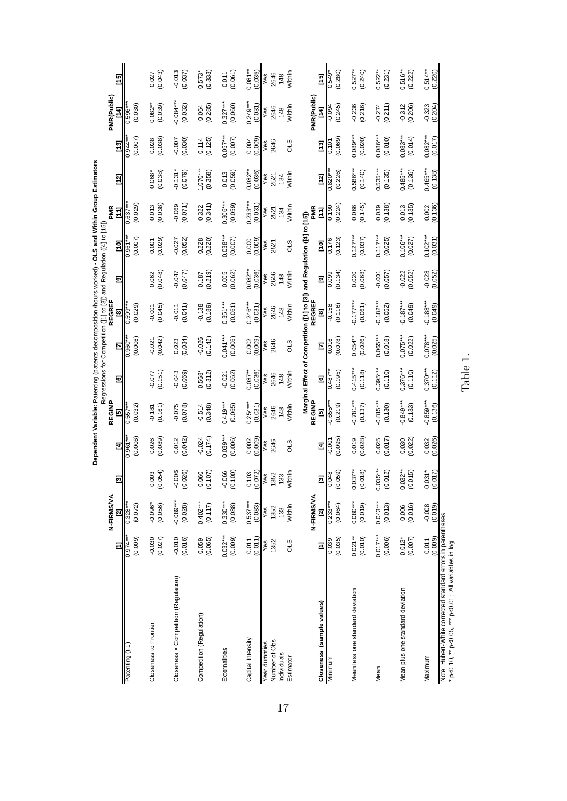|                                                                                                                      |                       |                        |                          |                       |                        |                       |                       | Dependent Variable: Patenting (patents decomposition /hours worked) - OLS and Within Group Estimators<br>Regressions for Competition ([1] to [3]) and Regulation ([4] to [15]) |                        |                       |                                 |                                       |                                       |                            |                                                |
|----------------------------------------------------------------------------------------------------------------------|-----------------------|------------------------|--------------------------|-----------------------|------------------------|-----------------------|-----------------------|--------------------------------------------------------------------------------------------------------------------------------------------------------------------------------|------------------------|-----------------------|---------------------------------|---------------------------------------|---------------------------------------|----------------------------|------------------------------------------------|
|                                                                                                                      |                       | N-FIRMS/VA             |                          |                       | REGIMP                 |                       |                       | REGREF                                                                                                                                                                         |                        |                       | PMR                             |                                       |                                       | PMR(Public)                |                                                |
|                                                                                                                      | Ξ                     | Ξ                      | $\overline{\mathcal{C}}$ | $\mathbf{H}$          | 5                      | O                     | Σ                     | 81                                                                                                                                                                             | 亙                      | [10]                  | <b>FAL</b>                      | $\begin{bmatrix} 1 & 2 \end{bmatrix}$ | $\begin{bmatrix} 1 & 3 \end{bmatrix}$ | 14]                        | $\begin{bmatrix} 15 \\ 0 \end{bmatrix}$        |
| Patenting (t-1)                                                                                                      | (0.009)<br>$0.974*$   | (0.072)<br>$0.328*$    |                          | (0.006)<br>™196.0     | (0.032)<br>$0.557***$  |                       | (0.006)<br>$0.960**$  | $0.599***$<br>(0.029)                                                                                                                                                          |                        | (0.007)<br>$0.961***$ | (0.029)<br>$0.637***$           |                                       | (0.007)<br>0.944**                    | (0.030)<br>$0.596**$       |                                                |
| Closeness to Frontier                                                                                                | $-0.030$<br>(0.027)   | $-0.096*$<br>(0.056)   | (0.054)<br>0.003         | (0.089)<br>0.026      | (0.161)<br>$-0.181$    | (0.151)<br>$-0.077$   | (0.042)<br>$-0.021$   | (0.045)<br>$-0.001$                                                                                                                                                            | (0.048)<br>0.062       | $0.001$<br>$(0.029)$  | $0.013$<br>$(0.038)$            | (0.038)<br>$0.068*$                   | $0.028$<br>$(0.038)$                  | $0.082***$<br>(0.039)      | (0.043)<br>0.027                               |
| Closeness x Competition (Regulation)                                                                                 | $-0.010$<br>(0.016)   | $-0.089***$<br>(0.028) | $-0.006$<br>(0.026)      | (0.042)<br>0.012      | $-0.075$<br>(0.078)    | (0.069)<br>$-0.043$   | (0.034)<br>0.023      | (0.041)<br>$-0.011$                                                                                                                                                            | $-0.047$<br>(0.047)    | $-0.027$<br>$(0.052)$ | $-0.069$<br>(0.071)             | $-0.131*$<br>(0.079)                  | (0.007)                               | $0.084***$<br>(0.032)      | (0.037)<br>$-0.013$                            |
| Competition (Regulation)                                                                                             | (0.065)<br>0.059      | $0.402***$<br>(0.117)  | (0.107)<br>0.060         | $-0.024$<br>(0.174)   | $-0.514$<br>(0.348)    | (0.312)<br>$0.568*$   | (0.142)<br>$-0.026$   | $-0.138$<br>(0.189)                                                                                                                                                            | (0.219)<br>0.187       | 0.228                 | (0.341)<br>0.322                | $1.070***$<br>(0.358)                 | (0.125)<br>0.114                      | (0.285)<br>0.064           | (0.333)<br>$0.573*$                            |
| Externalities                                                                                                        | $0.032***$<br>(0.009) | $0.330***$<br>(0.088)  | $-0.066$<br>(0.100)      | $0.039***$<br>(0.006) | $0.419***$<br>(0.065)  | (0.062)<br>$-0.021$   | $0.041***$<br>(0.006) | $0.351***$<br>(0.061)                                                                                                                                                          | (0.062)<br>0.005       | $0.038***$<br>(0.007) | $0.306***$<br>(0.059)           | (0.059)<br>0.013                      | $0.057***$<br>(0.007)                 | $0.327***$<br>(0.060)      | (0.061)<br>0.011                               |
| Capital Intensity                                                                                                    | $0.011$<br>$(0.011)$  | $0.537***$<br>(0.083)  | (0.072)<br>0.103         | $0.002$<br>$(0.009)$  | $0.254***$<br>(0.031)  | $0.087**$<br>(0.036)  | $0.002$<br>$(0.009)$  | $0.246***$<br>$(0.031)$                                                                                                                                                        | $0.082**$<br>$(0.036)$ | (0.000)               | $\frac{0.233***}{\sqrt{0.031}}$ | $0.082**$<br>(0.036)                  | $0.004$<br>$(0.009)$                  | $\frac{0.249***}{(0.031)}$ | $0.081***$<br>$\frac{(0.035)}{Yes}$            |
| Number of Obs<br><b>Year dummies</b><br>Individuals                                                                  | 1352<br>es            | 1352<br>Yes<br>133     | 1352<br>Yes<br>133       | 2646<br>Yes           | 2646<br>Yes<br>148     | 2646<br>148<br>Yes    | 2646<br>Yes           | 2646<br>Yes<br>148                                                                                                                                                             | 2646<br>Yes<br>148     | səy<br>2521           | 2521<br>134                     | Yes<br>2521<br>134                    | 2646<br>Yes                           | 2646<br>148                | 2646<br>148                                    |
| Estimator                                                                                                            | STO                   | Within                 | Within                   | STO                   | Within                 | Within                | STO                   | Within                                                                                                                                                                         | Within                 | STO                   | Within                          | Within                                | STO                                   | Within                     | Within                                         |
|                                                                                                                      |                       | N-FIRMS/VA             |                          |                       | REGIMP                 |                       |                       | Marginal Effect of Competition ([1] to [3]) and Regulation ([4] to [15])<br>REGREF                                                                                             |                        |                       | PMR                             |                                       |                                       | <b>PMR(Public)</b>         |                                                |
| Closeness (sample values)                                                                                            | Ξ                     | ন                      | Ø                        | Ξ                     | 5                      | S                     | Ε                     | [8]                                                                                                                                                                            | 豆                      | [10]                  | $\Xi$                           | $\frac{[12]}{0.820}$                  | $\begin{bmatrix} 1 & 3 \end{bmatrix}$ | ΙA<br>Σ                    | $\begin{bmatrix} 1 & 5 \\ 2 & 1 \end{bmatrix}$ |
| Minimum                                                                                                              | (0.035)               | (0.064)<br>$0.233*$    | (0.059)<br>0.048         | (0.095)<br>0.007      | (0.219)<br>$-0.655**$  | (0.195)<br>0.487      | (0.078)<br>0.016      | (0.116)<br>$-0.158$                                                                                                                                                            | (0.134)<br>0.099       | (0.123)<br>0.176      | (0.224)<br>$\frac{0.190}{2}$    | (0.226)                               | (0.069)<br>0.101                      | (0.245)<br>$-0.094$        | (0.280)<br>$0.549*$                            |
| Mean less one standard deviation                                                                                     | $0.021***$<br>(0.010) | $0.080***$<br>(0.019)  | $0.037***$<br>(0.018)    | (0.028)<br>0.019      | $0.781***$<br>(0.137)  | $0.415***$<br>(0.118) | $0.054***$<br>(0.026) | $-0.177***$<br>(0.061)                                                                                                                                                         | (0.068)<br>0.020       | $0.127***$<br>(0.037) | (0.145)<br>0.066                | $0.586***$<br>(0.140)                 | $0.089***$<br>(0.020)                 | (0.216)<br>$-0.236$        | $0.527**$<br>(0.240)                           |
| Mean                                                                                                                 | $0.017***$<br>(0.006) | $0.043***$<br>(0.013)  | $0.035***$<br>(0.012)    | (0.017)<br>0.025      | $0.815***$<br>(0.130)  | $0.395***$<br>(0.110) | $0.065***$<br>(0.018) | $0.182***$<br>(0.052)                                                                                                                                                          | (0.057)<br>$-0.001$    | $0.117***$<br>(0.025) | (0.138)<br>0.039                | $0.535***$<br>(0.135)                 | $0.086***$<br>(0.010)                 | $-0.274$<br>(0.211)        | $0.522***$<br>(0.231)                          |
| Mean plus one standard deviation                                                                                     | (0.007)<br>$0.013*$   | (0.016)<br>0.006       | $0.032***$<br>(0.015)    | (0.022)<br>0.030      | $0.849***$<br>(0.133)  | $0.376***$<br>(0.110) | $0.075***$<br>(0.022) | $-0.187***$<br>(0.049)                                                                                                                                                         | $-0.022$<br>(0.052)    | $0.106***$<br>(0.027) | (0.135)<br>0.013                | $0.485***$<br>(0.136)                 | $0.083***$<br>(0.014)                 | (0.206)<br>$-0.312$        | $0.516***$<br>(0.222)                          |
| Maximum                                                                                                              | (0.009)<br>0.011      | (0.019)<br>$-0.008$    | $0.031*$<br>(0.017)      | 0.032<br>(0.026)      | $-0.859***$<br>(0.136) | $0.370***$<br>(0.112) | $0.078***$<br>(0.025) | $-0.188***$<br>(0.049)                                                                                                                                                         | $-0.028$<br>(0.052)    | $0.102***$<br>(0.031) | $0.002$<br>$(0.136)$            | $0.465***$<br>(0.138)                 | $0.082***$<br>(0.017)                 | (0.204)<br>$-0.323$        | $0.514***$<br>(0.220)                          |
| Note: Hubert-White corrected standard errors in parentheses<br>* p<0.10, ** p<0.05, *** p<0.01; All variables in log |                       |                        |                          |                       |                        |                       |                       |                                                                                                                                                                                |                        |                       |                                 |                                       |                                       |                            |                                                |

Table 1.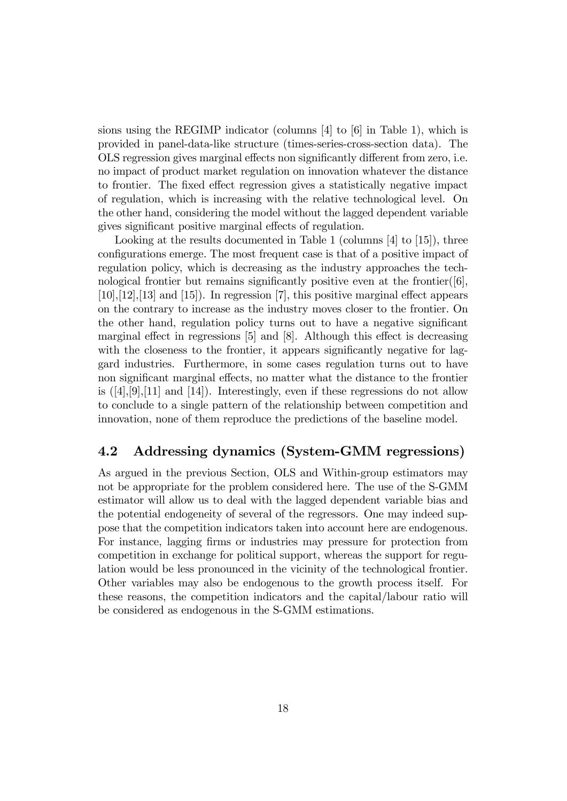sions using the REGIMP indicator (columns [4] to [6] in Table 1), which is provided in panel-data-like structure (times-series-cross-section data). The OLS regression gives marginal effects non significantly different from zero, i.e. no impact of product market regulation on innovation whatever the distance to frontier. The fixed effect regression gives a statistically negative impact of regulation, which is increasing with the relative technological level. On the other hand, considering the model without the lagged dependent variable gives significant positive marginal effects of regulation.

Looking at the results documented in Table 1 (columns [4] to [15]), three configurations emerge. The most frequent case is that of a positive impact of regulation policy, which is decreasing as the industry approaches the technological frontier but remains significantly positive even at the frontier( $[6]$ ,  $[10],[12],[13]$  and  $[15]$ . In regression  $[7]$ , this positive marginal effect appears on the contrary to increase as the industry moves closer to the frontier. On the other hand, regulation policy turns out to have a negative significant marginal effect in regressions  $[5]$  and  $[8]$ . Although this effect is decreasing with the closeness to the frontier, it appears significantly negative for laggard industries. Furthermore, in some cases regulation turns out to have non significant marginal effects, no matter what the distance to the frontier is  $([4],[9],[11]$  and  $[14]$ . Interestingly, even if these regressions do not allow to conclude to a single pattern of the relationship between competition and innovation, none of them reproduce the predictions of the baseline model.

### 4.2 Addressing dynamics (System-GMM regressions)

As argued in the previous Section, OLS and Within-group estimators may not be appropriate for the problem considered here. The use of the S-GMM estimator will allow us to deal with the lagged dependent variable bias and the potential endogeneity of several of the regressors. One may indeed suppose that the competition indicators taken into account here are endogenous. For instance, lagging firms or industries may pressure for protection from competition in exchange for political support, whereas the support for regulation would be less pronounced in the vicinity of the technological frontier. Other variables may also be endogenous to the growth process itself. For these reasons, the competition indicators and the capital/labour ratio will be considered as endogenous in the S-GMM estimations.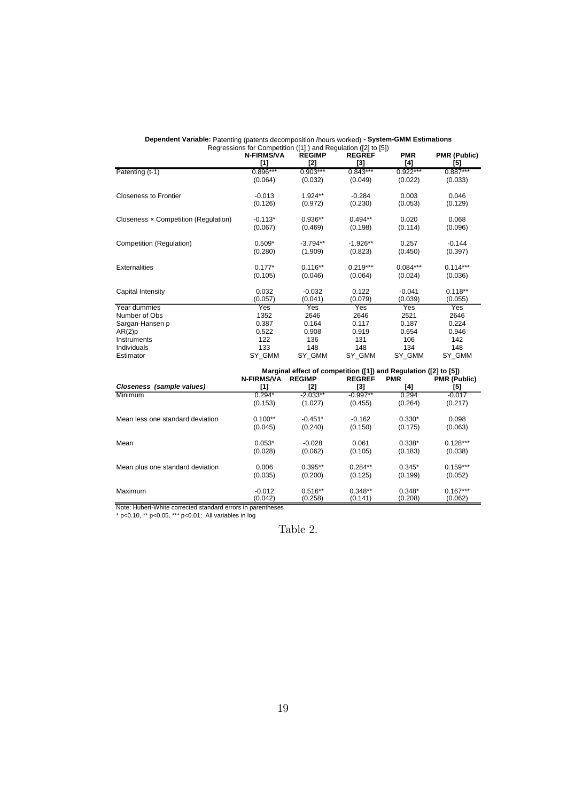|                                      | $\frac{1}{2}$ . The summand $\frac{1}{2}$ of $\frac{1}{2}$ is the summand $\frac{1}{2}$ of $\frac{1}{2}$ is $\frac{1}{2}$ |               |               |            |                     |
|--------------------------------------|---------------------------------------------------------------------------------------------------------------------------|---------------|---------------|------------|---------------------|
|                                      | <b>N-FIRMS/VA</b>                                                                                                         | <b>REGIMP</b> | <b>REGREF</b> | <b>PMR</b> | <b>PMR (Public)</b> |
|                                      | $[1]$                                                                                                                     | [2]           | [3]           | [4]        | [5]                 |
| Patenting (t-1)                      | $0.896***$                                                                                                                | $0.903***$    | $0.843***$    | $0.922***$ | $0.887***$          |
|                                      | (0.064)                                                                                                                   | (0.032)       | (0.049)       | (0.022)    | (0.033)             |
| <b>Closeness to Frontier</b>         | $-0.013$                                                                                                                  | $1.924**$     | $-0.284$      | 0.003      | 0.046               |
|                                      | (0.126)                                                                                                                   | (0.972)       | (0.230)       | (0.053)    | (0.129)             |
| Closeness x Competition (Regulation) | $-0.113*$                                                                                                                 | $0.936**$     | $0.494**$     | 0.020      | 0.068               |
|                                      | (0.067)                                                                                                                   | (0.469)       | (0.198)       | (0.114)    | (0.096)             |
| Competition (Regulation)             | $0.509*$                                                                                                                  | $-3.794**$    | $-1.926**$    | 0.257      | $-0.144$            |
|                                      | (0.280)                                                                                                                   | (1.909)       | (0.823)       | (0.450)    | (0.397)             |
| <b>Externalities</b>                 | $0.177*$                                                                                                                  | $0.116**$     | $0.219***$    | $0.084***$ | $0.114***$          |
|                                      | (0.105)                                                                                                                   | (0.046)       | (0.064)       | (0.024)    | (0.036)             |
| Capital Intensity                    | 0.032                                                                                                                     | $-0.032$      | 0.122         | $-0.041$   | $0.118**$           |
|                                      | (0.057)                                                                                                                   | (0.041)       | (0.079)       | (0.039)    | (0.055)             |
| Year dummies                         | Yes                                                                                                                       | Yes           | Yes           | Yes        | Yes                 |
| Number of Obs                        | 1352                                                                                                                      | 2646          | 2646          | 2521       | 2646                |
| Sargan-Hansen p                      | 0.387                                                                                                                     | 0.164         | 0.117         | 0.187      | 0.224               |
| AR(2)p                               | 0.522                                                                                                                     | 0.908         | 0.919         | 0.654      | 0.946               |
| Instruments                          | 122                                                                                                                       | 136           | 131           | 106        | 142                 |
| Individuals                          | 133                                                                                                                       | 148           | 148           | 134        | 148                 |
| Estimator                            | SY GMM                                                                                                                    | SY GMM        | SY GMM        | SY GMM     | SY GMM              |

Regressions for Competition ([1] ) and Regulation ([2] to [5]) **Dependent Variable:** Patenting (patents decomposition /hours worked) **- System-GMM Estimations**

|                                  |                   | Marginal effect of competition ([1]) and Regulation ([2] to [5]) |               |            |                     |
|----------------------------------|-------------------|------------------------------------------------------------------|---------------|------------|---------------------|
|                                  | <b>N-FIRMS/VA</b> | <b>REGIMP</b>                                                    | <b>REGREF</b> | <b>PMR</b> | <b>PMR (Public)</b> |
| Closeness (sample values)        | [1]               | [2]                                                              | [3]           | [4]        | [5]                 |
| Minimum                          | $0.294*$          | $-2.033**$                                                       | $-0.997**$    | 0.294      | $-0.017$            |
|                                  | (0.153)           | (1.027)                                                          | (0.455)       | (0.264)    | (0.217)             |
| Mean less one standard deviation | $0.100**$         | $-0.451*$                                                        | $-0.162$      | $0.330*$   | 0.098               |
|                                  | (0.045)           | (0.240)                                                          | (0.150)       | (0.175)    | (0.063)             |
| Mean                             | $0.053*$          | $-0.028$                                                         | 0.061         | $0.338*$   | $0.128***$          |
|                                  | (0.028)           | (0.062)                                                          | (0.105)       | (0.183)    | (0.038)             |
| Mean plus one standard deviation | 0.006             | $0.395**$                                                        | $0.284**$     | $0.345*$   | $0.159***$          |
|                                  | (0.035)           | (0.200)                                                          | (0.125)       | (0.199)    | (0.052)             |
| Maximum                          | $-0.012$          | $0.516**$                                                        | $0.348**$     | $0.348*$   | $0.167***$          |
|                                  | (0.042)           | (0.258)                                                          | (0.141)       | (0.208)    | (0.062)             |

Note: Hubert-White corrected standard errors in parentheses \* p<0.10, \*\* p<0.05, \*\*\* p<0.01; All variables in log

Table 2.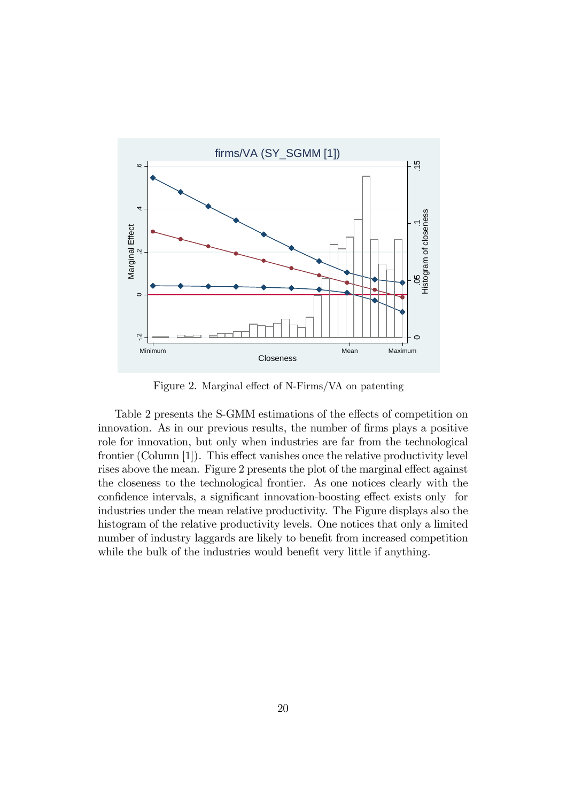

Figure 2. Marginal effect of N-Firms/VA on patenting

Table 2 presents the S-GMM estimations of the effects of competition on innovation. As in our previous results, the number of firms plays a positive role for innovation, but only when industries are far from the technological frontier (Column  $[1]$ ). This effect vanishes once the relative productivity level rises above the mean. Figure 2 presents the plot of the marginal effect against the closeness to the technological frontier. As one notices clearly with the confidence intervals, a significant innovation-boosting effect exists only for industries under the mean relative productivity. The Figure displays also the histogram of the relative productivity levels. One notices that only a limited number of industry laggards are likely to benefit from increased competition while the bulk of the industries would benefit very little if anything.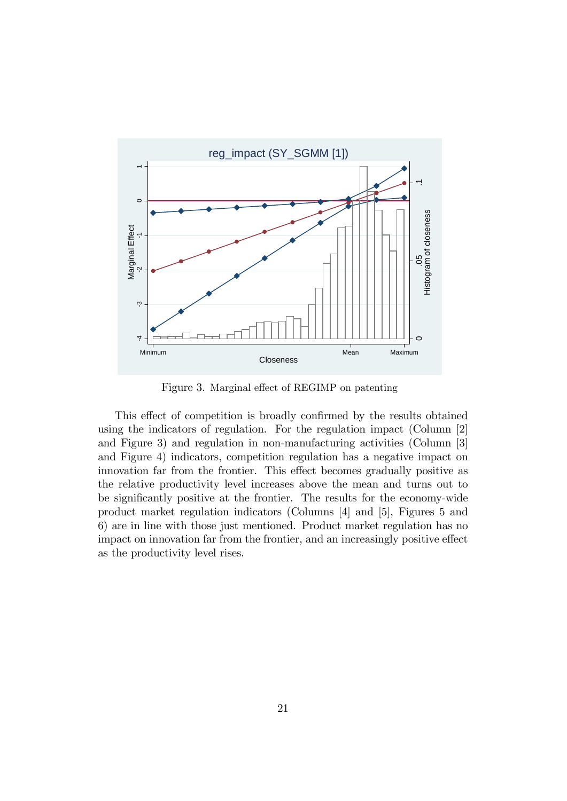

Figure 3. Marginal effect of REGIMP on patenting

This effect of competition is broadly confirmed by the results obtained using the indicators of regulation. For the regulation impact (Column [2] and Figure 3) and regulation in non-manufacturing activities (Column [3] and Figure 4) indicators, competition regulation has a negative impact on innovation far from the frontier. This effect becomes gradually positive as the relative productivity level increases above the mean and turns out to be significantly positive at the frontier. The results for the economy-wide product market regulation indicators (Columns [4] and [5], Figures 5 and 6) are in line with those just mentioned. Product market regulation has no impact on innovation far from the frontier, and an increasingly positive effect as the productivity level rises.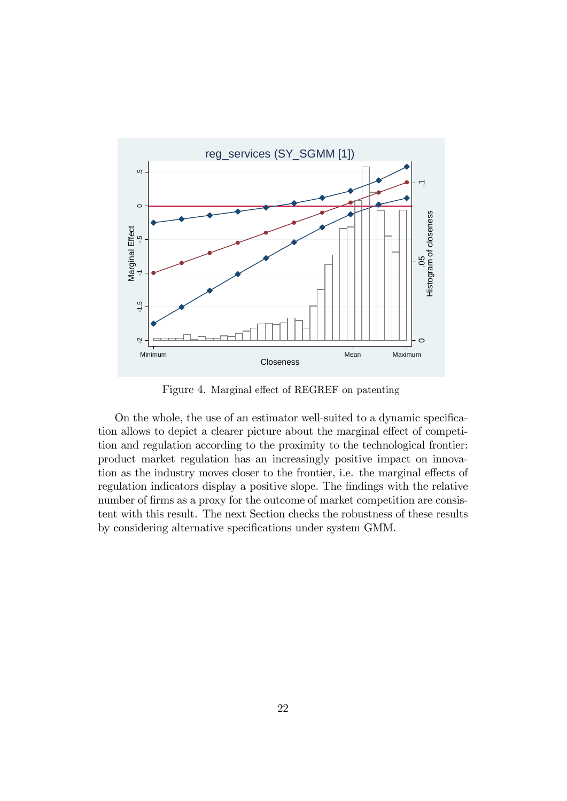

Figure 4. Marginal effect of REGREF on patenting

On the whole, the use of an estimator well-suited to a dynamic specification allows to depict a clearer picture about the marginal effect of competition and regulation according to the proximity to the technological frontier: product market regulation has an increasingly positive impact on innovation as the industry moves closer to the frontier, i.e. the marginal effects of regulation indicators display a positive slope. The findings with the relative number of firms as a proxy for the outcome of market competition are consistent with this result. The next Section checks the robustness of these results by considering alternative specifications under system GMM.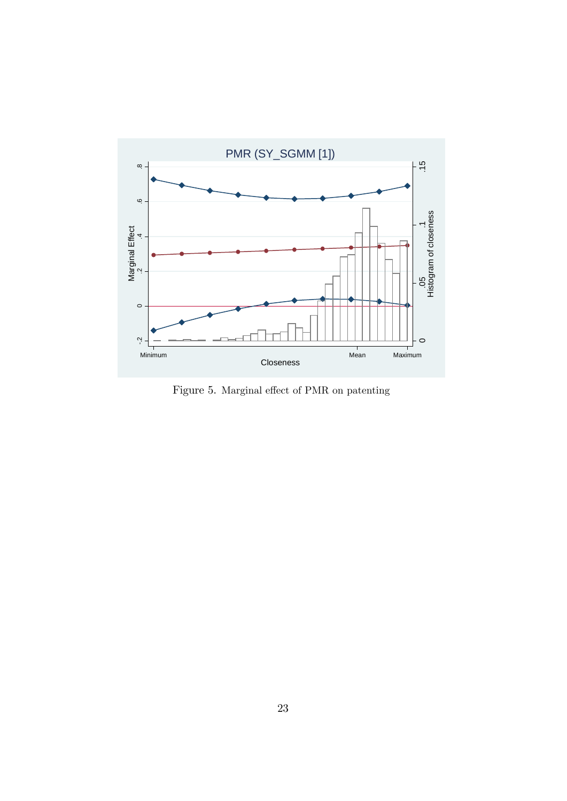

Figure 5. Marginal effect of PMR on patenting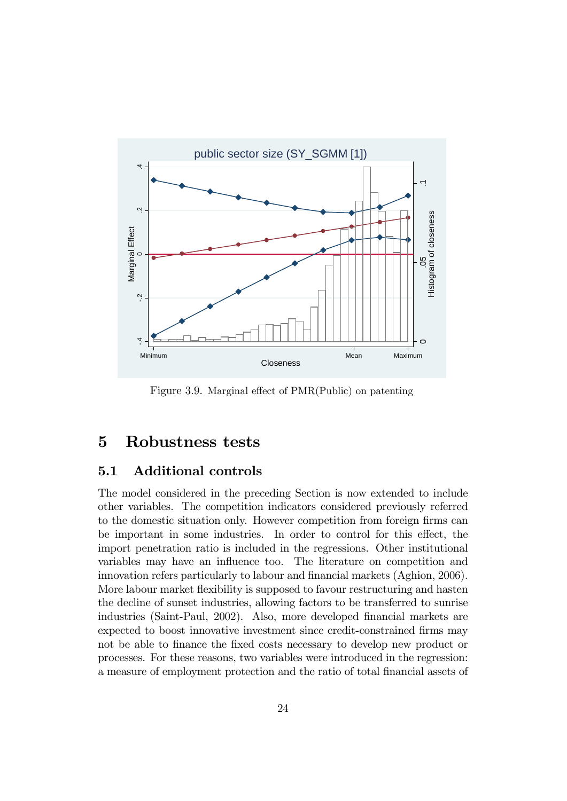

Figure 3.9. Marginal effect of  $PMR(Public)$  on patenting

# 5 Robustness tests

#### 5.1 Additional controls

The model considered in the preceding Section is now extended to include other variables. The competition indicators considered previously referred to the domestic situation only. However competition from foreign firms can be important in some industries. In order to control for this effect, the import penetration ratio is included in the regressions. Other institutional variables may have an influence too. The literature on competition and innovation refers particularly to labour and financial markets (Aghion, 2006). More labour market flexibility is supposed to favour restructuring and hasten the decline of sunset industries, allowing factors to be transferred to sunrise industries (Saint-Paul, 2002). Also, more developed financial markets are expected to boost innovative investment since credit-constrained firms may not be able to finance the fixed costs necessary to develop new product or processes. For these reasons, two variables were introduced in the regression: a measure of employment protection and the ratio of total financial assets of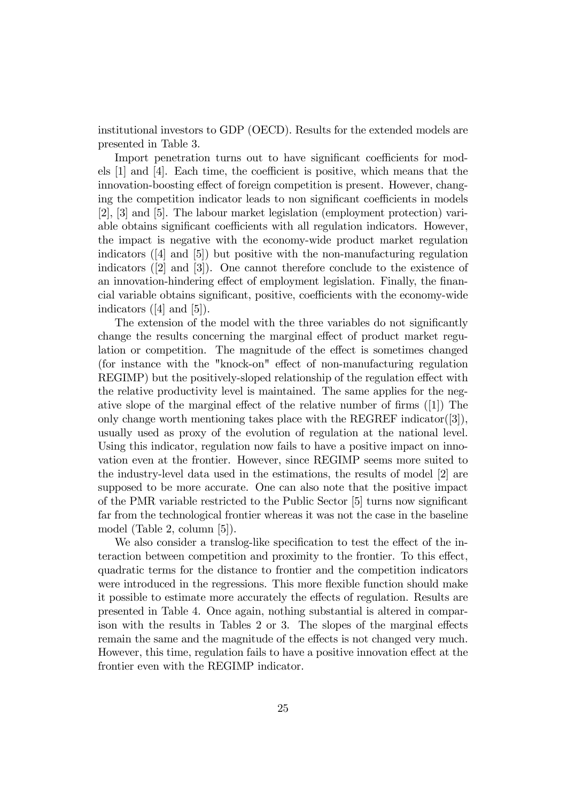institutional investors to GDP (OECD). Results for the extended models are presented in Table 3.

Import penetration turns out to have significant coefficients for models  $[1]$  and  $[4]$ . Each time, the coefficient is positive, which means that the innovation-boosting effect of foreign competition is present. However, changing the competition indicator leads to non significant coefficients in models [2], [3] and [5]. The labour market legislation (employment protection) variable obtains significant coefficients with all regulation indicators. However, the impact is negative with the economy-wide product market regulation indicators ([4] and [5]) but positive with the non-manufacturing regulation indicators ([2] and [3]). One cannot therefore conclude to the existence of an innovation-hindering effect of employment legislation. Finally, the financial variable obtains significant, positive, coefficients with the economy-wide indicators ([4] and [5]).

The extension of the model with the three variables do not significantly change the results concerning the marginal effect of product market regulation or competition. The magnitude of the effect is sometimes changed  $($ for instance with the "knock-on" effect of non-manufacturing regulation REGIMP) but the positively-sloped relationship of the regulation effect with the relative productivity level is maintained. The same applies for the negative slope of the marginal effect of the relative number of firms  $([1])$  The only change worth mentioning takes place with the REGREF indicator([3]), usually used as proxy of the evolution of regulation at the national level. Using this indicator, regulation now fails to have a positive impact on innovation even at the frontier. However, since REGIMP seems more suited to the industry-level data used in the estimations, the results of model [2] are supposed to be more accurate. One can also note that the positive impact of the PMR variable restricted to the Public Sector  $|5|$  turns now significant far from the technological frontier whereas it was not the case in the baseline model (Table 2, column [5]).

We also consider a translog-like specification to test the effect of the interaction between competition and proximity to the frontier. To this effect, quadratic terms for the distance to frontier and the competition indicators were introduced in the regressions. This more flexible function should make it possible to estimate more accurately the effects of regulation. Results are presented in Table 4. Once again, nothing substantial is altered in comparison with the results in Tables  $2 \text{ or } 3$ . The slopes of the marginal effects remain the same and the magnitude of the effects is not changed very much. However, this time, regulation fails to have a positive innovation effect at the frontier even with the REGIMP indicator.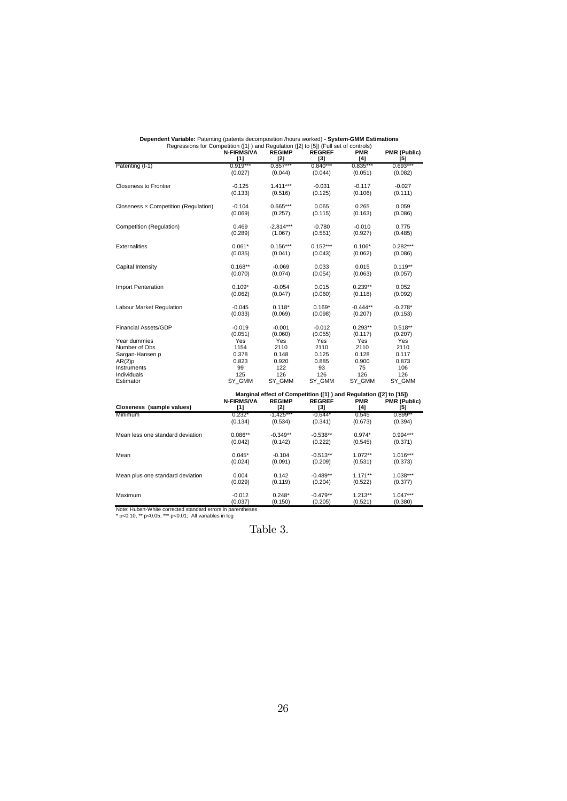| Regressions for Competition ([1] ) and Regulation ([2] to [5]) (Full set of controls) |                            |                        |                                                                   |                   |                            |
|---------------------------------------------------------------------------------------|----------------------------|------------------------|-------------------------------------------------------------------|-------------------|----------------------------|
|                                                                                       | <b>N-FIRMS/VA</b><br>$[1]$ | <b>REGIMP</b><br>$[2]$ | <b>REGREF</b><br>$[3]$                                            | <b>PMR</b><br>[4] | <b>PMR (Public)</b><br>[5] |
| Patenting (t-1)                                                                       | $0.919***$                 | $0.857***$             | $0.840***$                                                        | $0.835***$        | $0.693***$                 |
|                                                                                       | (0.027)                    | (0.044)                | (0.044)                                                           | (0.051)           | (0.082)                    |
| <b>Closeness to Frontier</b>                                                          | $-0.125$                   | $1.411***$             | $-0.031$                                                          | $-0.117$          | $-0.027$                   |
|                                                                                       | (0.133)                    | (0.516)                | (0.125)                                                           | (0.106)           | (0.111)                    |
| Closeness x Competition (Regulation)                                                  | $-0.104$                   | $0.665***$             | 0.065                                                             | 0.265             | 0.059                      |
|                                                                                       | (0.069)                    | (0.257)                | (0.115)                                                           | (0.163)           | (0.086)                    |
| Competition (Regulation)                                                              | 0.469                      | $-2.814***$            | $-0.780$                                                          | $-0.010$          | 0.775                      |
|                                                                                       | (0.289)                    | (1.067)                | (0.551)                                                           | (0.927)           | (0.485)                    |
| <b>Externalities</b>                                                                  | $0.061*$                   | $0.156***$             | $0.152***$                                                        | $0.106*$          | $0.282***$                 |
|                                                                                       | (0.035)                    | (0.041)                | (0.043)                                                           | (0.062)           | (0.086)                    |
| Capital Intensity                                                                     | $0.168**$                  | $-0.069$               | 0.033                                                             | 0.015             | $0.119**$                  |
|                                                                                       | (0.070)                    | (0.074)                | (0.054)                                                           | (0.063)           | (0.057)                    |
| Import Penteration                                                                    | $0.109*$                   | $-0.054$               | 0.015                                                             | $0.239**$         | 0.052                      |
|                                                                                       | (0.062)                    | (0.047)                | (0.060)                                                           | (0.118)           | (0.092)                    |
| Labour Market Regulation                                                              | $-0.045$                   | $0.118*$               | $0.169*$                                                          | $-0.444**$        | $-0.278*$                  |
|                                                                                       | (0.033)                    | (0.069)                | (0.098)                                                           | (0.207)           | (0.153)                    |
| <b>Financial Assets/GDP</b>                                                           | $-0.019$                   | $-0.001$               | $-0.012$                                                          | $0.293**$         | $0.518**$                  |
|                                                                                       | (0.051)                    | (0.060)                | (0.055)                                                           | (0.117)           | (0.207)                    |
| Year dummies                                                                          | Yes                        | Yes                    | Yes                                                               | Yes               | Yes                        |
| Number of Obs                                                                         | 1154                       | 2110                   | 2110                                                              | 2110              | 2110                       |
| Sargan-Hansen p                                                                       | 0.378                      | 0.148                  | 0.125                                                             | 0.128             | 0.117                      |
| AR(2)p                                                                                | 0.823                      | 0.920                  | 0.885                                                             | 0.900             | 0.873                      |
| Instruments                                                                           | 99                         | 122                    | 93                                                                | 75                | 106                        |
| Individuals                                                                           | 125                        | 126                    | 126                                                               | 126               | 126                        |
| Estimator                                                                             | SY GMM                     | SY GMM                 | SY GMM                                                            | SY GMM            | SY GMM                     |
|                                                                                       |                            |                        | Marginal effect of Competition ([1]) and Regulation ([2] to [15]) |                   |                            |
|                                                                                       | <b>N-FIRMS/VA</b>          | <b>REGIMP</b>          | <b>REGREF</b>                                                     | <b>PMR</b>        | PMR (Public)               |
| Closeness (sample values)                                                             | [1]                        | [2]                    | [3]                                                               | [4]               | [5]                        |
| Minimum                                                                               | $0.232*$                   | $-1.425***$            | $-0.644*$                                                         | 0.545             | $0.899**$                  |
|                                                                                       | (0.134)                    | (0.534)                | (0.341)                                                           | (0.673)           | (0.394)                    |
| Mean less one standard deviation                                                      | $0.086**$                  | $-0.349**$             | $-0.538**$                                                        | $0.974*$          | 0.994***                   |
|                                                                                       | (0.042)                    | (0.142)                | (0.222)                                                           | (0.545)           | (0.371)                    |
| Mean                                                                                  | $0.045*$                   | $-0.104$               | $-0.513**$                                                        | 1.072**           | $1.016***$                 |
|                                                                                       | (0.024)                    | (0.091)                | (0.209)                                                           | (0.531)           | (0.373)                    |
| Mean plus one standard deviation                                                      | 0.004                      | 0.142                  | $-0.489**$                                                        | $1.171**$         | 1.038***                   |
|                                                                                       | (0.029)                    | (0.119)                | (0.204)                                                           | (0.522)           | (0.377)                    |
| Maximum                                                                               | $-0.012$                   | $0.248*$               | $-0.479**$                                                        | $1.213**$         | $1.047***$                 |
|                                                                                       | (0.037)                    | (0.150)                | (0.205)                                                           | (0.521)           | (0.380)                    |

**Dependent Variable:** Patenting (patents decomposition /hours worked) **- System-GMM Estimations** Regressions for Competition ([1] ) and Regulation ([2] to [5]) (Full set of controls)

Note: Hubert-White corrected standard errors in parentheses \* p<0.10, \*\* p<0.05, \*\*\* p<0.01; All variables in log

Table 3.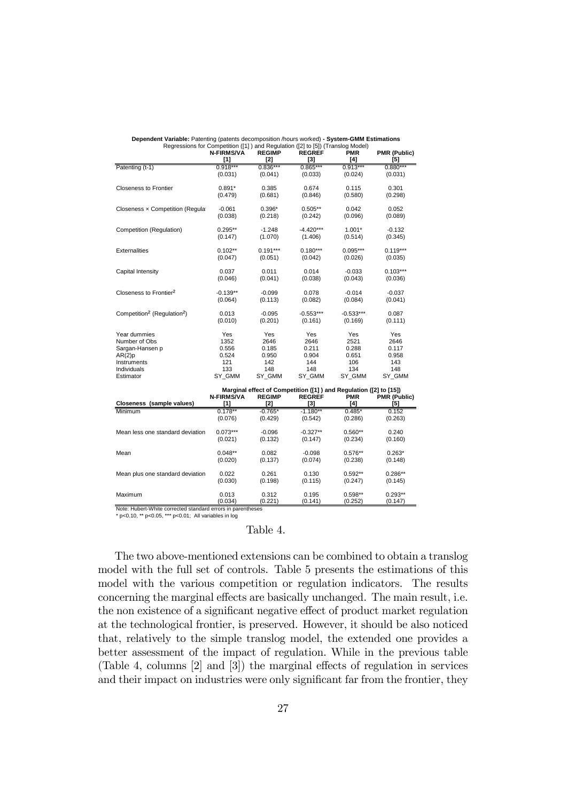| is equessions for Competition ([1] and is equidition ([2] to [3]) (Transformation) | <b>N-FIRMS/VA</b>        | <b>REGIMP</b>        | <b>REGREF</b>                                                     | <b>PMR</b>        | PMR (Public)        |
|------------------------------------------------------------------------------------|--------------------------|----------------------|-------------------------------------------------------------------|-------------------|---------------------|
|                                                                                    | [1]                      | [2]                  | $^{[3]}$                                                          | [4]               | [5]                 |
| Patenting (t-1)                                                                    | $0.918***$               | $0.836***$           | $0.865***$                                                        | $0.913***$        | $0.880***$          |
|                                                                                    | (0.031)                  | (0.041)              | (0.033)                                                           | (0.024)           | (0.031)             |
| <b>Closeness to Frontier</b>                                                       | $0.891*$                 | 0.385                | 0.674                                                             | 0.115             | 0.301               |
|                                                                                    | (0.479)                  | (0.681)              | (0.846)                                                           | (0.580)           | (0.298)             |
| Closeness x Competition (Regular                                                   | $-0.061$                 | $0.396*$             | $0.505**$                                                         | 0.042             | 0.052               |
|                                                                                    | (0.038)                  | (0.218)              | (0.242)                                                           | (0.096)           | (0.089)             |
| Competition (Regulation)                                                           | $0.295**$                | $-1.248$             | $-4.420***$                                                       | $1.001*$          | $-0.132$            |
|                                                                                    | (0.147)                  | (1.070)              | (1.406)                                                           | (0.514)           | (0.345)             |
| Externalities                                                                      | $0.102**$                | $0.191***$           | $0.180***$                                                        | 0.095***          | $0.119***$          |
|                                                                                    | (0.047)                  | (0.051)              | (0.042)                                                           | (0.026)           | (0.035)             |
| Capital Intensity                                                                  | 0.037                    | 0.011                | 0.014                                                             | $-0.033$          | $0.103***$          |
|                                                                                    | (0.046)                  | (0.041)              | (0.038)                                                           | (0.043)           | (0.036)             |
| Closeness to Frontier <sup>2</sup>                                                 | $-0.139**$               | $-0.099$             | 0.078                                                             | $-0.014$          | $-0.037$            |
|                                                                                    | (0.064)                  | (0.113)              | (0.082)                                                           | (0.084)           | (0.041)             |
| Competition <sup>2</sup> (Regulation <sup>2</sup> )                                | 0.013                    | $-0.095$             | $-0.553***$                                                       | $-0.533***$       | 0.087               |
|                                                                                    | (0.010)                  | (0.201)              | (0.161)                                                           | (0.169)           | (0.111)             |
| Year dummies                                                                       | Yes                      | Yes                  | Yes                                                               | Yes               | Yes                 |
| Number of Obs                                                                      | 1352                     | 2646                 | 2646                                                              | 2521              | 2646                |
| Sargan-Hansen p                                                                    | 0.556                    | 0.185                | 0.211                                                             | 0.288             | 0.117               |
| AR(2)p                                                                             | 0.524                    | 0.950                | 0.904                                                             | 0.651             | 0.958               |
| Instruments                                                                        | 121                      | 142                  | 144                                                               | 106               | 143                 |
| Individuals                                                                        | 133                      | 148                  | 148                                                               | 134               | 148                 |
| Estimator                                                                          | SY GMM                   | SY GMM               | SY GMM                                                            | SY GMM            | SY GMM              |
|                                                                                    |                          |                      | Marginal effect of Competition ([1]) and Regulation ([2] to [15]) |                   |                     |
| Closeness (sample values)                                                          | <b>N-FIRMS/VA</b><br>[1] | <b>REGIMP</b><br>[2] | <b>REGREF</b><br>[3]                                              | <b>PMR</b><br>[4] | PMR (Public)<br>[5] |
| Minimum                                                                            | $0.178**$                | $-0.765*$            | $-1.180**$                                                        | $0.485*$          | 0.152               |
|                                                                                    | (0.076)                  | (0.429)              | (0.542)                                                           | (0.286)           | (0.263)             |
| Mean less one standard deviation                                                   | $0.073***$               | $-0.096$             | $-0.327**$                                                        | $0.560**$         | 0.240               |
|                                                                                    | (0.021)                  | (0.132)              | (0.147)                                                           | (0.234)           | (0.160)             |
| Mean                                                                               | $0.048**$                | 0.082                | $-0.098$                                                          | $0.576**$         | $0.263*$            |
|                                                                                    | (0.020)                  | (0.137)              | (0.074)                                                           | (0.238)           | (0.148)             |
| Mean plus one standard deviation                                                   | 0.022                    | 0.261                | 0.130                                                             | $0.592**$         | $0.286**$           |
|                                                                                    | (0.030)                  | (0.198)              | (0.115)                                                           | (0.247)           | (0.145)             |
| Maximum                                                                            | 0.013                    | 0.312                | 0.195                                                             | $0.598**$         | $0.293**$           |
|                                                                                    | (0.034)                  | (0.221)              | (0.141)                                                           | (0.252)           | (0.147)             |

**Dependent Variable:** Patenting (patents decomposition /hours worked) **- System-GMM Estimations** Regressions for Competition ([1] ) and Regulation ([2] to [5]) (Translog Model)

Note: Hubert-White corrected standard errors in parentheses \* p<0.10, \*\* p<0.05, \*\*\* p<0.01; All variables in log

#### Table 4.

The two above-mentioned extensions can be combined to obtain a translog model with the full set of controls. Table 5 presents the estimations of this model with the various competition or regulation indicators. The results concerning the marginal effects are basically unchanged. The main result, i.e. the non existence of a significant negative effect of product market regulation at the technological frontier, is preserved. However, it should be also noticed that, relatively to the simple translog model, the extended one provides a better assessment of the impact of regulation. While in the previous table (Table 4, columns  $[2]$  and  $[3]$ ) the marginal effects of regulation in services and their impact on industries were only significant far from the frontier, they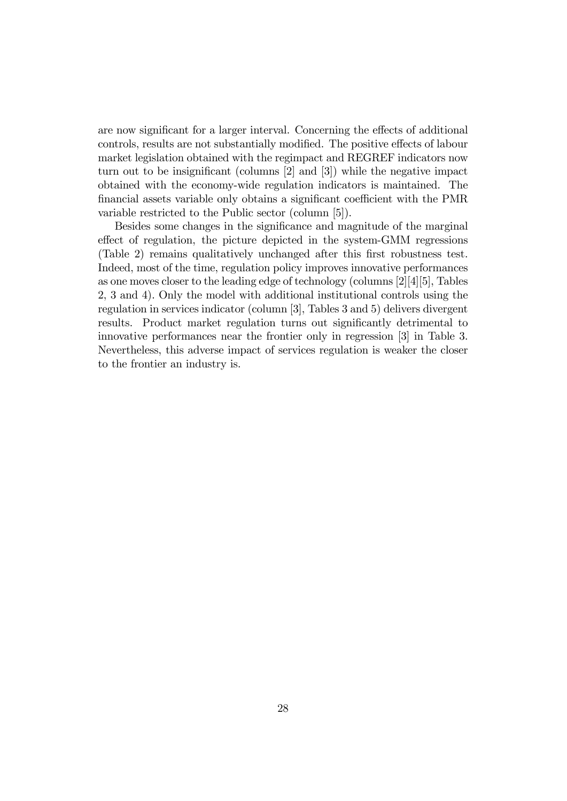are now significant for a larger interval. Concerning the effects of additional controls, results are not substantially modified. The positive effects of labour market legislation obtained with the regimpact and REGREF indicators now turn out to be insignificant (columns  $[2]$  and  $[3]$ ) while the negative impact obtained with the economy-wide regulation indicators is maintained. The financial assets variable only obtains a significant coefficient with the PMR variable restricted to the Public sector (column [5]).

Besides some changes in the significance and magnitude of the marginal effect of regulation, the picture depicted in the system-GMM regressions (Table 2) remains qualitatively unchanged after this first robustness test. Indeed, most of the time, regulation policy improves innovative performances as one moves closer to the leading edge of technology (columns [2][4][5], Tables 2, 3 and 4). Only the model with additional institutional controls using the regulation in services indicator (column [3], Tables 3 and 5) delivers divergent results. Product market regulation turns out significantly detrimental to innovative performances near the frontier only in regression [3] in Table 3. Nevertheless, this adverse impact of services regulation is weaker the closer to the frontier an industry is.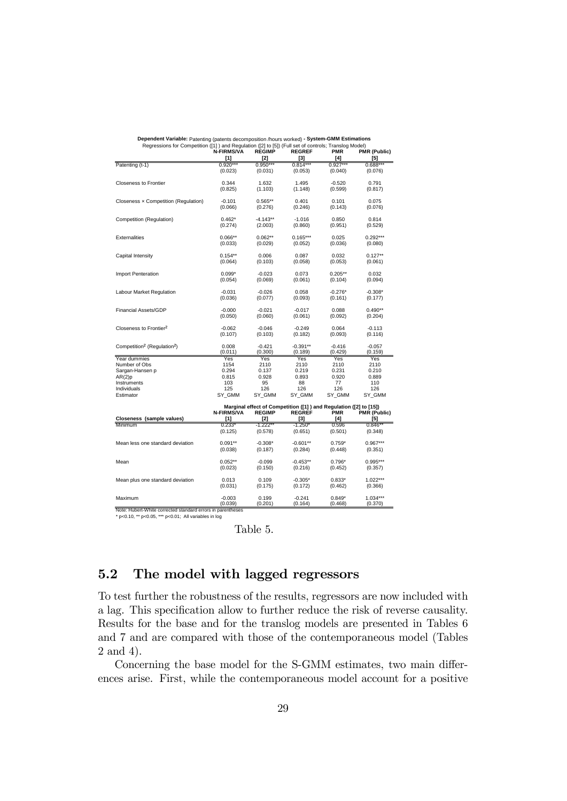| Regressions for Competition ([1]) and Regulation ([2] to [5]) (Full set of controls; Translog Model) |                   |               |                                                                   |               |                     |
|------------------------------------------------------------------------------------------------------|-------------------|---------------|-------------------------------------------------------------------|---------------|---------------------|
|                                                                                                      | <b>N-FIRMS/VA</b> | <b>REGIMP</b> | <b>REGREF</b>                                                     | <b>PMR</b>    | <b>PMR (Public)</b> |
|                                                                                                      | $[1]$             | $[2]$         | $[3]$                                                             | [4]           | [5]                 |
| Patenting (t-1)                                                                                      | $0.920***$        | $0.950***$    | $0.814***$                                                        | $0.927***$    | $0.688***$          |
|                                                                                                      | (0.023)           | (0.031)       | (0.053)                                                           | (0.040)       | (0.076)             |
| <b>Closeness to Frontier</b>                                                                         | 0.344             | 1.632         | 1.495                                                             | $-0.520$      | 0.791               |
|                                                                                                      | (0.825)           | (1.103)       | (1.148)                                                           | (0.599)       | (0.817)             |
|                                                                                                      |                   |               |                                                                   |               |                     |
| Closeness x Competition (Regulation)                                                                 | $-0.101$          | $0.565**$     | 0.401                                                             | 0.101         | 0.075               |
|                                                                                                      | (0.066)           | (0.276)       | (0.246)                                                           | (0.143)       | (0.076)             |
|                                                                                                      |                   |               |                                                                   |               |                     |
| Competition (Regulation)                                                                             | $0.462*$          | $-4.143**$    | $-1.016$                                                          | 0.850         | 0.814               |
|                                                                                                      | (0.274)           | (2.003)       | (0.860)                                                           | (0.951)       | (0.529)             |
| Externalities                                                                                        | $0.066**$         | $0.062**$     | $0.165***$                                                        | 0.025         | $0.292***$          |
|                                                                                                      | (0.033)           | (0.029)       | (0.052)                                                           | (0.036)       | (0.080)             |
|                                                                                                      |                   |               |                                                                   |               |                     |
| Capital Intensity                                                                                    | $0.154**$         | 0.006         | 0.087                                                             | 0.032         | $0.127**$           |
|                                                                                                      | (0.064)           | (0.103)       | (0.058)                                                           | (0.053)       | (0.061)             |
|                                                                                                      |                   |               |                                                                   |               |                     |
| Import Penteration                                                                                   | $0.099*$          | $-0.023$      | 0.073                                                             | $0.205**$     | 0.032               |
|                                                                                                      | (0.054)           | (0.069)       | (0.061)                                                           | (0.104)       | (0.094)             |
| Labour Market Regulation                                                                             | $-0.031$          | $-0.026$      | 0.058                                                             | $-0.276*$     | $-0.308*$           |
|                                                                                                      | (0.036)           | (0.077)       | (0.093)                                                           | (0.161)       | (0.177)             |
|                                                                                                      |                   |               |                                                                   |               |                     |
| <b>Financial Assets/GDP</b>                                                                          | $-0.000$          | $-0.021$      | $-0.017$                                                          | 0.088         | $0.490**$           |
|                                                                                                      | (0.050)           | (0.060)       | (0.061)                                                           | (0.092)       | (0.204)             |
|                                                                                                      |                   |               |                                                                   |               |                     |
| Closeness to Frontier <sup>2</sup>                                                                   | $-0.062$          | $-0.046$      | $-0.249$                                                          | 0.064         | $-0.113$            |
|                                                                                                      | (0.107)           | (0.103)       | (0.182)                                                           | (0.093)       | (0.116)             |
| Competition <sup>2</sup> (Regulation <sup>2</sup> )                                                  | 0.008             | $-0.421$      | $-0.391**$                                                        | $-0.416$      | $-0.057$            |
|                                                                                                      | (0.011)           | (0.300)       | (0.189)                                                           | (0.429)       | (0.159)             |
| Year dummies                                                                                         | Yes               | Yes           | Yes                                                               | Yes           | Yes                 |
| Number of Obs                                                                                        | 1154              | 2110          | 2110                                                              | 2110          | 2110                |
| Sargan-Hansen p                                                                                      | 0.294             | 0.137         | 0.219                                                             | 0.231         | 0.210               |
| AR(2)p                                                                                               | 0.815             | 0.928         | 0.893                                                             | 0.920         | 0.889               |
| Instruments                                                                                          | 103               | 95            | 88                                                                | 77            | 110                 |
| Individuals<br>Estimator                                                                             | 125<br>SY_GMM     | 126<br>SY_GMM | 126<br>SY_GMM                                                     | 126<br>SY_GMM | 126<br>SY_GMM       |
|                                                                                                      |                   |               |                                                                   |               |                     |
|                                                                                                      |                   |               | Marginal effect of Competition ([1]) and Regulation ([2] to [15]) |               |                     |
|                                                                                                      | <b>N-FIRMS/VA</b> | <b>REGIMP</b> | <b>REGREF</b>                                                     | PMR           | PMR (Public)        |
| Closeness (sample values)                                                                            | [1]               | [2]           | [3]                                                               | [4]           | [5]                 |
| Minimum                                                                                              | $0.233*$          | $-1.222**$    | $-1.250*$                                                         | 0.596         | $0.846**$           |
|                                                                                                      | (0.125)           | (0.578)       | (0.651)                                                           | (0.501)       | (0.348)             |
| Mean less one standard deviation                                                                     | $0.091**$         | $-0.308*$     | $-0.601**$                                                        | $0.759*$      | $0.967***$          |
|                                                                                                      | (0.038)           | (0.187)       | (0.284)                                                           | (0.448)       | (0.351)             |
|                                                                                                      |                   |               |                                                                   |               |                     |
| Mean                                                                                                 | $0.052**$         | $-0.099$      | $-0.453**$                                                        | $0.796*$      | 0.995***            |
|                                                                                                      | (0.023)           | (0.150)       | (0.216)                                                           | (0.452)       | (0.357)             |
|                                                                                                      |                   |               |                                                                   |               |                     |
| Mean plus one standard deviation                                                                     | 0.013             | 0.109         | $-0.305*$                                                         | $0.833*$      | $1.022***$          |
|                                                                                                      | (0.031)           | (0.175)       | (0.172)                                                           | (0.462)       | (0.366)             |
| Maximum                                                                                              | $-0.003$          | 0.199         | $-0.241$                                                          | $0.849*$      | $1.034***$          |
|                                                                                                      | (0.039)           | (0.201)       | (0.164)                                                           | (0.468)       | (0.370)             |

**Dependent Variable:** Patenting (patents decomposition /hours worked) **- System-GMM Estimations**

Note: Hubert-White corrected standard errors in parentheses \* p<0.10, \*\* p<0.05, \*\*\* p<0.01; All variables in log

Table 5.

## 5.2 The model with lagged regressors

To test further the robustness of the results, regressors are now included with a lag. This specification allow to further reduce the risk of reverse causality. Results for the base and for the translog models are presented in Tables 6 and 7 and are compared with those of the contemporaneous model (Tables 2 and 4).

Concerning the base model for the S-GMM estimates, two main differences arise. First, while the contemporaneous model account for a positive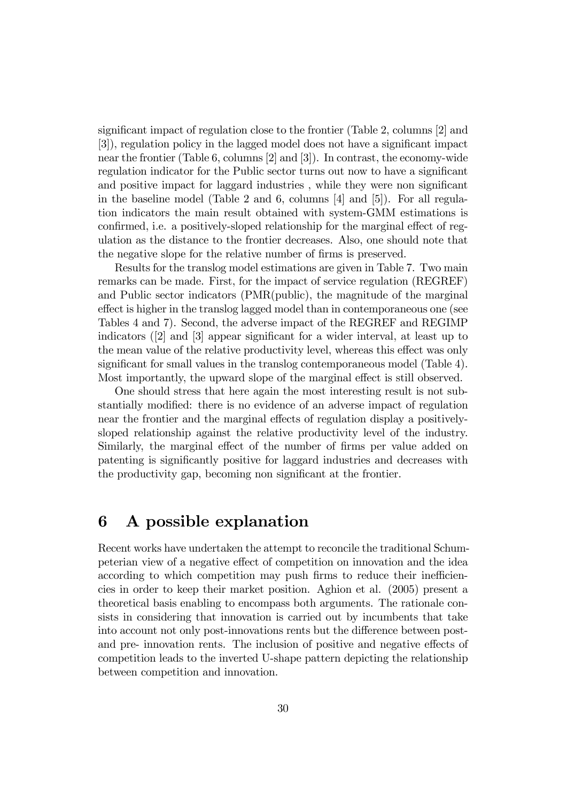significant impact of regulation close to the frontier (Table 2, columns  $[2]$  and [3]), regulation policy in the lagged model does not have a significant impact near the frontier (Table 6, columns [2] and [3]). In contrast, the economy-wide regulation indicator for the Public sector turns out now to have a significant and positive impact for laggard industries, while they were non significant in the baseline model (Table 2 and 6, columns [4] and [5]). For all regulation indicators the main result obtained with system-GMM estimations is confirmed, i.e. a positively-sloped relationship for the marginal effect of regulation as the distance to the frontier decreases. Also, one should note that the negative slope for the relative number of firms is preserved.

Results for the translog model estimations are given in Table 7. Two main remarks can be made. First, for the impact of service regulation (REGREF) and Public sector indicators (PMR(public), the magnitude of the marginal effect is higher in the translog lagged model than in contemporaneous one (see Tables 4 and 7). Second, the adverse impact of the REGREF and REGIMP indicators  $(2)$  and  $[3]$  appear significant for a wider interval, at least up to the mean value of the relative productivity level, whereas this effect was only significant for small values in the translog contemporaneous model (Table 4). Most importantly, the upward slope of the marginal effect is still observed.

One should stress that here again the most interesting result is not substantially modified: there is no evidence of an adverse impact of regulation near the frontier and the marginal effects of regulation display a positivelysloped relationship against the relative productivity level of the industry. Similarly, the marginal effect of the number of firms per value added on patenting is significantly positive for laggard industries and decreases with the productivity gap, becoming non significant at the frontier.

# 6 A possible explanation

Recent works have undertaken the attempt to reconcile the traditional Schumpeterian view of a negative effect of competition on innovation and the idea according to which competition may push firms to reduce their inefficiencies in order to keep their market position. Aghion et al. (2005) present a theoretical basis enabling to encompass both arguments. The rationale consists in considering that innovation is carried out by incumbents that take into account not only post-innovations rents but the difference between postand pre- innovation rents. The inclusion of positive and negative effects of competition leads to the inverted U-shape pattern depicting the relationship between competition and innovation.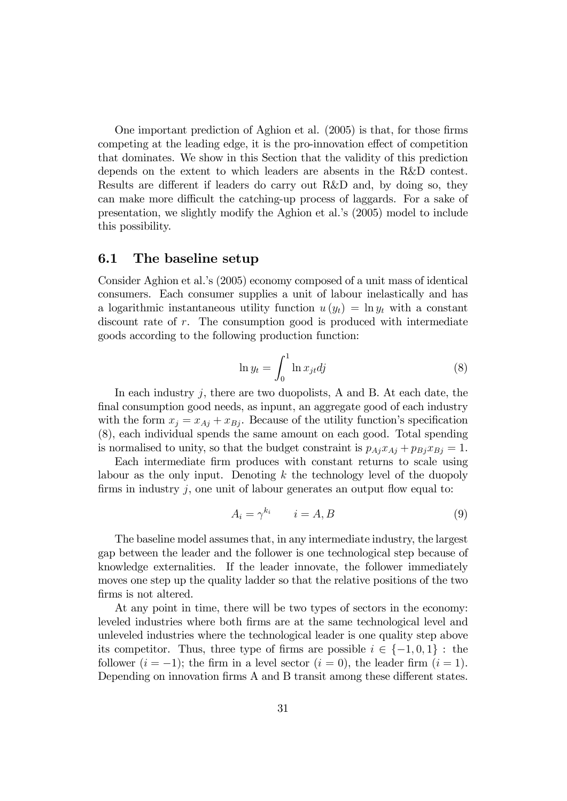One important prediction of Aghion et al.  $(2005)$  is that, for those firms competing at the leading edge, it is the pro-innovation effect of competition that dominates. We show in this Section that the validity of this prediction depends on the extent to which leaders are absents in the R&D contest. Results are different if leaders do carry out R&D and, by doing so, they can make more difficult the catching-up process of laggards. For a sake of presentation, we slightly modify the Aghion et al.'s (2005) model to include this possibility.

#### 6.1 The baseline setup

Consider Aghion et al.ís (2005) economy composed of a unit mass of identical consumers. Each consumer supplies a unit of labour inelastically and has a logarithmic instantaneous utility function  $u(y_t) = \ln y_t$  with a constant discount rate of r. The consumption good is produced with intermediate goods according to the following production function:

$$
\ln y_t = \int_0^1 \ln x_{jt} \, dj \tag{8}
$$

In each industry  $j$ , there are two duopolists, A and B. At each date, the final consumption good needs, as inpunt, an aggregate good of each industry with the form  $x_j = x_{A_j} + x_{B_j}$ . Because of the utility function's specification (8), each individual spends the same amount on each good. Total spending is normalised to unity, so that the budget constraint is  $p_{Aj}x_{Aj} + p_{Bj}x_{Bj} = 1$ .

Each intermediate Örm produces with constant returns to scale using labour as the only input. Denoting  $k$  the technology level of the duopoly firms in industry  $j$ , one unit of labour generates an output flow equal to:

$$
A_i = \gamma^{k_i} \qquad i = A, B \tag{9}
$$

The baseline model assumes that, in any intermediate industry, the largest gap between the leader and the follower is one technological step because of knowledge externalities. If the leader innovate, the follower immediately moves one step up the quality ladder so that the relative positions of the two firms is not altered.

At any point in time, there will be two types of sectors in the economy: leveled industries where both Örms are at the same technological level and unleveled industries where the technological leader is one quality step above its competitor. Thus, three type of firms are possible  $i \in \{-1, 0, 1\}$ : the follower  $(i = -1)$ ; the firm in a level sector  $(i = 0)$ , the leader firm  $(i = 1)$ . Depending on innovation firms A and B transit among these different states.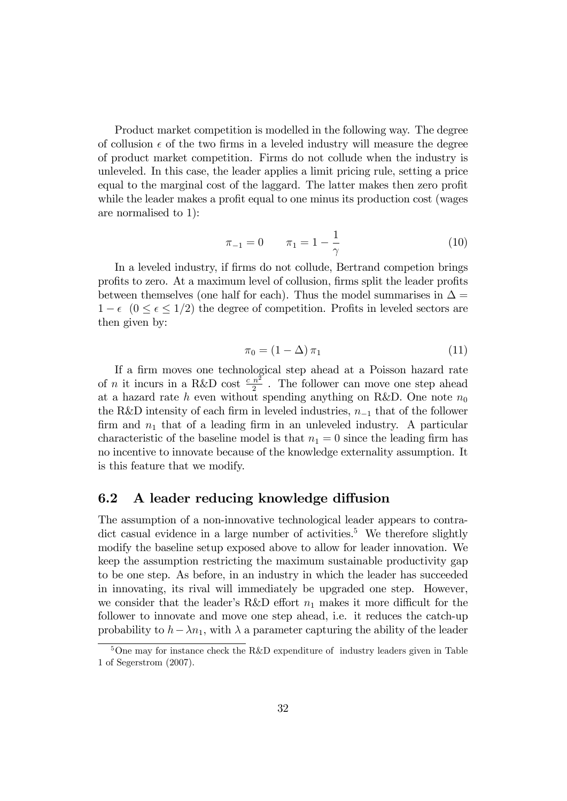Product market competition is modelled in the following way. The degree of collusion  $\epsilon$  of the two firms in a leveled industry will measure the degree of product market competition. Firms do not collude when the industry is unleveled. In this case, the leader applies a limit pricing rule, setting a price equal to the marginal cost of the laggard. The latter makes then zero profit while the leader makes a profit equal to one minus its production cost (wages are normalised to 1):

$$
\pi_{-1} = 0 \qquad \pi_1 = 1 - \frac{1}{\gamma} \tag{10}
$$

In a leveled industry, if firms do not collude, Bertrand competion brings profits to zero. At a maximum level of collusion, firms split the leader profits between themselves (one half for each). Thus the model summarises in  $\Delta =$  $1 - \epsilon$   $(0 \le \epsilon \le 1/2)$  the degree of competition. Profits in leveled sectors are then given by:

$$
\pi_0 = (1 - \Delta) \pi_1 \tag{11}
$$

If a firm moves one technological step ahead at a Poisson hazard rate of *n* it incurs in a R&D cost  $\frac{c n^2}{2}$ . The follower can move one step ahead at a hazard rate h even without spending anything on R&D. One note  $n_0$ the R&D intensity of each firm in leveled industries,  $n_{-1}$  that of the follower firm and  $n_1$  that of a leading firm in an unleveled industry. A particular characteristic of the baseline model is that  $n_1 = 0$  since the leading firm has no incentive to innovate because of the knowledge externality assumption. It is this feature that we modify.

#### 6.2 A leader reducing knowledge diffusion

The assumption of a non-innovative technological leader appears to contradict casual evidence in a large number of activities.<sup>5</sup> We therefore slightly modify the baseline setup exposed above to allow for leader innovation. We keep the assumption restricting the maximum sustainable productivity gap to be one step. As before, in an industry in which the leader has succeeded in innovating, its rival will immediately be upgraded one step. However, we consider that the leader's R&D effort  $n_1$  makes it more difficult for the follower to innovate and move one step ahead, i.e. it reduces the catch-up probability to  $h - \lambda n_1$ , with  $\lambda$  a parameter capturing the ability of the leader

 $5$ One may for instance check the R&D expenditure of industry leaders given in Table 1 of Segerstrom (2007).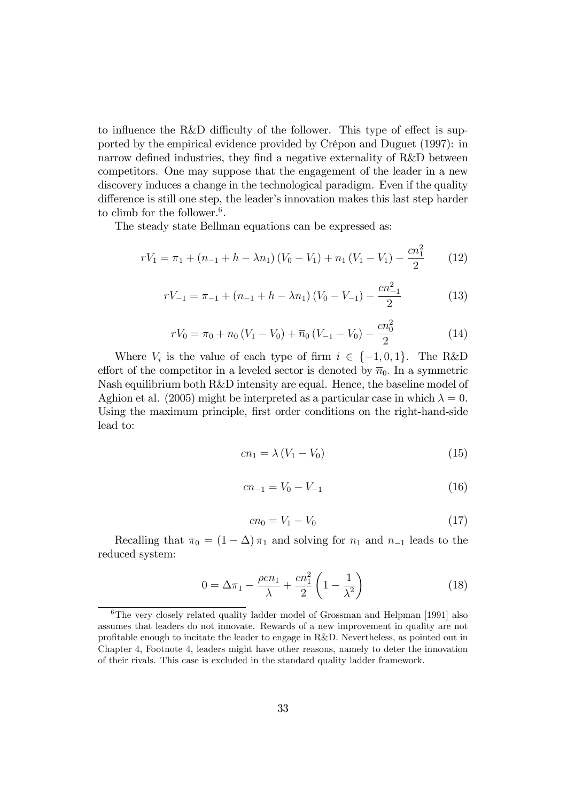to influence the R&D difficulty of the follower. This type of effect is supported by the empirical evidence provided by Crépon and Duguet (1997): in narrow defined industries, they find a negative externality of  $R&D$  between competitors. One may suppose that the engagement of the leader in a new discovery induces a change in the technological paradigm. Even if the quality difference is still one step, the leader's innovation makes this last step harder to climb for the follower.<sup>6</sup>.

The steady state Bellman equations can be expressed as:

$$
rV_1 = \pi_1 + (n_{-1} + h - \lambda n_1)(V_0 - V_1) + n_1(V_1 - V_1) - \frac{cn_1^2}{2}
$$
 (12)

$$
rV_{-1} = \pi_{-1} + (n_{-1} + h - \lambda n_1) (V_0 - V_{-1}) - \frac{cn_{-1}^2}{2}
$$
 (13)

$$
rV_0 = \pi_0 + n_0 (V_1 - V_0) + \overline{n}_0 (V_{-1} - V_0) - \frac{cn_0^2}{2}
$$
 (14)

Where  $V_i$  is the value of each type of firm  $i \in \{-1, 0, 1\}$ . The R&D effort of the competitor in a leveled sector is denoted by  $\overline{n}_0$ . In a symmetric Nash equilibrium both R&D intensity are equal. Hence, the baseline model of Aghion et al. (2005) might be interpreted as a particular case in which  $\lambda = 0$ . Using the maximum principle, first order conditions on the right-hand-side lead to:

$$
cn_1 = \lambda (V_1 - V_0) \tag{15}
$$

$$
cn_{-1} = V_0 - V_{-1} \tag{16}
$$

$$
cn_0 = V_1 - V_0 \tag{17}
$$

Recalling that  $\pi_0 = (1 - \Delta) \pi_1$  and solving for  $n_1$  and  $n_{-1}$  leads to the reduced system:

$$
0 = \Delta \pi_1 - \frac{\rho c n_1}{\lambda} + \frac{c n_1^2}{2} \left( 1 - \frac{1}{\lambda^2} \right)
$$
 (18)

<sup>6</sup>The very closely related quality ladder model of Grossman and Helpman [1991] also assumes that leaders do not innovate. Rewards of a new improvement in quality are not profitable enough to incitate the leader to engage in R&D. Nevertheless, as pointed out in Chapter 4, Footnote 4, leaders might have other reasons, namely to deter the innovation of their rivals. This case is excluded in the standard quality ladder framework.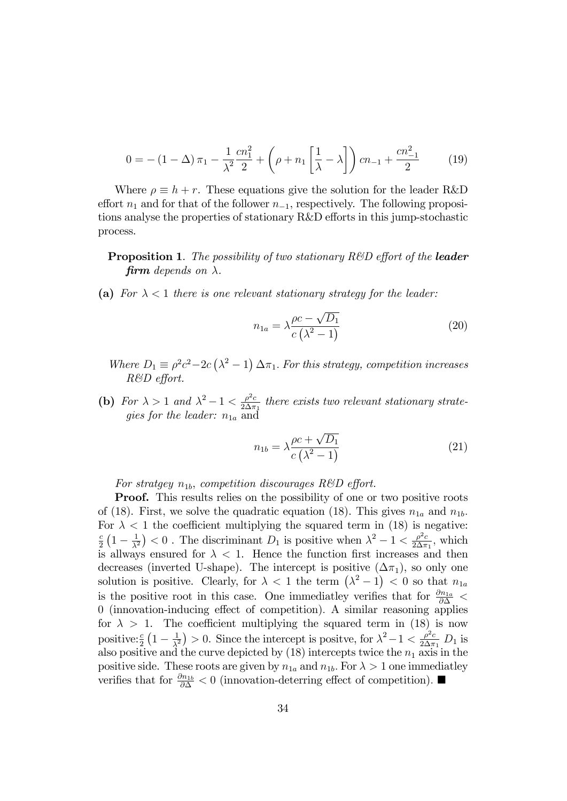$$
0 = -(1 - \Delta)\pi_1 - \frac{1}{\lambda^2} \frac{cn_1^2}{2} + \left(\rho + n_1 \left[\frac{1}{\lambda} - \lambda\right]\right) cn_{-1} + \frac{cn_{-1}^2}{2}
$$
 (19)

Where  $\rho \equiv h + r$ . These equations give the solution for the leader R&D effort  $n_1$  and for that of the follower  $n_{-1}$ , respectively. The following propositions analyse the properties of stationary R&D efforts in this jump-stochastic process.

**Proposition 1.** The possibility of two stationary  $R\&D$  effort of the **leader** firm depends on  $\lambda$ .

(a) For  $\lambda < 1$  there is one relevant stationary strategy for the leader:

$$
n_{1a} = \lambda \frac{\rho c - \sqrt{D_1}}{c(\lambda^2 - 1)}
$$
\n(20)

- Where  $D_1 \equiv \rho^2 c^2 2c(\lambda^2 1) \Delta \pi_1$ . For this strategy, competition increases  $R&CD$  effort.
- (b) For  $\lambda > 1$  and  $\lambda^2 1 < \frac{\rho^2 c}{2 \Delta \pi}$  $\frac{\rho^2 c}{2\Delta \pi_1}$  there exists two relevant stationary strategies for the leader:  $n_{1a}$  and

$$
n_{1b} = \lambda \frac{\rho c + \sqrt{D_1}}{c(\lambda^2 - 1)}
$$
\n(21)

For stratgey  $n_{1b}$ , competition discourages R&D effort.

**Proof.** This results relies on the possibility of one or two positive roots of (18). First, we solve the quadratic equation (18). This gives  $n_{1a}$  and  $n_{1b}$ . For  $\lambda < 1$  the coefficient multiplying the squared term in (18) is negative: c  $\frac{c}{2}\left(1-\frac{1}{\lambda^2}\right)$  $\frac{1}{\lambda^2}$  < 0. The discriminant  $D_1$  is positive when  $\lambda^2 - 1 < \frac{\rho^2 c}{2 \Delta \pi}$  $\frac{\rho^2 c}{2\Delta \pi_1}$ , which is allways ensured for  $\lambda < 1$ . Hence the function first increases and then decreases (inverted U-shape). The intercept is positive  $(\Delta \pi_1)$ , so only one solution is positive. Clearly, for  $\lambda < 1$  the term  $(\lambda^2 - 1) < 0$  so that  $n_{1a}$ is the positive root in this case. One immediately verifies that for  $\frac{\partial n_{1a}}{\partial \Delta}$  < 0 (innovation-inducing effect of competition). A similar reasoning applies for  $\lambda > 1$ . The coefficient multiplying the squared term in (18) is now positive:  $\frac{c}{2}\left(1-\frac{1}{\lambda^2}\right)$  $\frac{1}{\lambda^2}$  > 0. Since the intercept is positve, for  $\lambda^2 - 1 < \frac{\rho^2 c}{2 \Delta \pi}$  $\frac{\rho^2 c}{2\Delta \pi_1} D_1$  is also positive and the curve depicted by  $(18)$  intercepts twice the  $n_1$  axis in the positive side. These roots are given by  $n_{1a}$  and  $n_{1b}$ . For  $\lambda > 1$  one immediatley verifies that for  $\frac{\partial n_{1b}}{\partial \Delta} < 0$  (innovation-deterring effect of competition).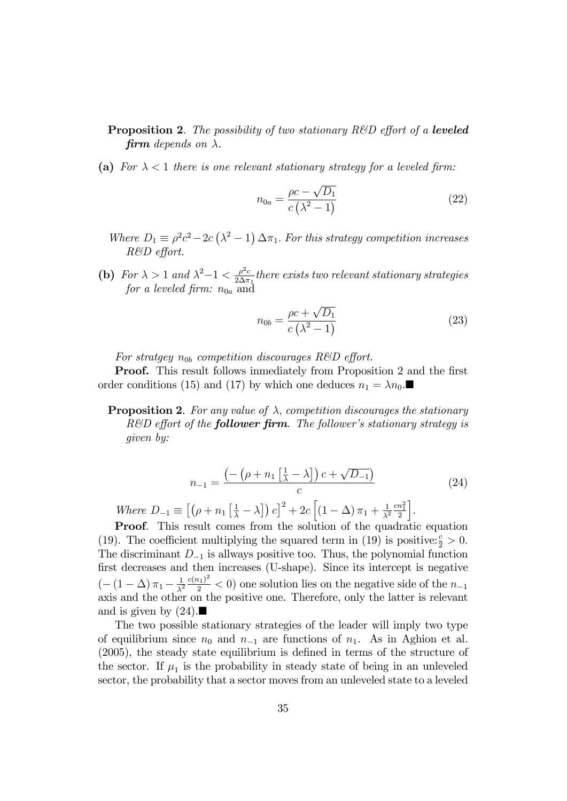- **Proposition 2.** The possibility of two stationary  $R\&D$  effort of a leveled firm depends on  $\lambda$ .
- (a) For  $\lambda < 1$  there is one relevant stationary strategy for a leveled firm:

$$
n_{0a} = \frac{\rho c - \sqrt{D_1}}{c\left(\lambda^2 - 1\right)}\tag{22}
$$

- Where  $D_1 \equiv \rho^2 c^2 2c(\lambda^2 1) \Delta \pi_1$ . For this strategy competition increases  $R&D$  effort.
- (b) For  $\lambda > 1$  and  $\lambda^2 1 < \frac{\rho^2 c}{2 \Delta \pi}$  $\frac{\rho^2 c}{2\Delta \pi_1}$  there exists two relevant stationary strategies for a leveled firm:  $n_{0a}$  and

$$
n_{0b} = \frac{\rho c + \sqrt{D_1}}{c\left(\lambda^2 - 1\right)}\tag{23}
$$

For stratgey  $n_{0b}$  competition discourages R&D effort.

**Proof.** This result follows inmediately from Proposition 2 and the first order conditions (15) and (17) by which one deduces  $n_1 = \lambda n_0$ .

**Proposition 2.** For any value of  $\lambda$ , competition discourages the stationary  $R&D$  effort of the **follower firm**. The follower's stationary strategy is given by:

$$
n_{-1} = \frac{\left(-\left(\rho + n_1\left[\frac{1}{\lambda} - \lambda\right]\right)c + \sqrt{D_{-1}}\right)}{c}
$$
\n
$$
[(\rho - \left[\frac{1}{\lambda} - \lambda\right])^{-1}\right]^{2} = \left[\left(\rho - \left(\frac{1}{\lambda}\right)^{2}\right]^{2} - \left[\left(\frac{1}{\lambda} - \frac{1}{\lambda}\right)\right]^{-1}\right]^{2}
$$
\n
$$
(24)
$$

Where  $D_{-1} \equiv \left[ \left( \rho + n_1 \left[ \frac{1}{\lambda} - \lambda \right] \right) c \right]^2 + 2c \left[ \left( 1 - \Delta \right) \pi_1 + \frac{1}{\lambda^2} \right]$  $\frac{1}{\lambda^2} \frac{cn_1^2}{2}$ i .

Proof. This result comes from the solution of the quadratic equation (19). The coefficient multiplying the squared term in (19) is positive:  $\frac{c}{2} > 0$ . The discriminant  $D_{-1}$  is allways positive too. Thus, the polynomial function first decreases and then increases (U-shape). Since its intercept is negative  $\left( -\left( 1-\Delta \right) \pi _{1}-\frac{1}{\lambda ^{2}}\right)$  $\frac{1}{\lambda^2} \frac{c(n_1)^2}{2}$  < 0) one solution lies on the negative side of the  $n_{-1}$ axis and the other on the positive one. Therefore, only the latter is relevant and is given by  $(24)$ .

The two possible stationary strategies of the leader will imply two type of equilibrium since  $n_0$  and  $n_{-1}$  are functions of  $n_1$ . As in Aghion et al.  $(2005)$ , the steady state equilibrium is defined in terms of the structure of the sector. If  $\mu_1$  is the probability in steady state of being in an unleveled sector, the probability that a sector moves from an unleveled state to a leveled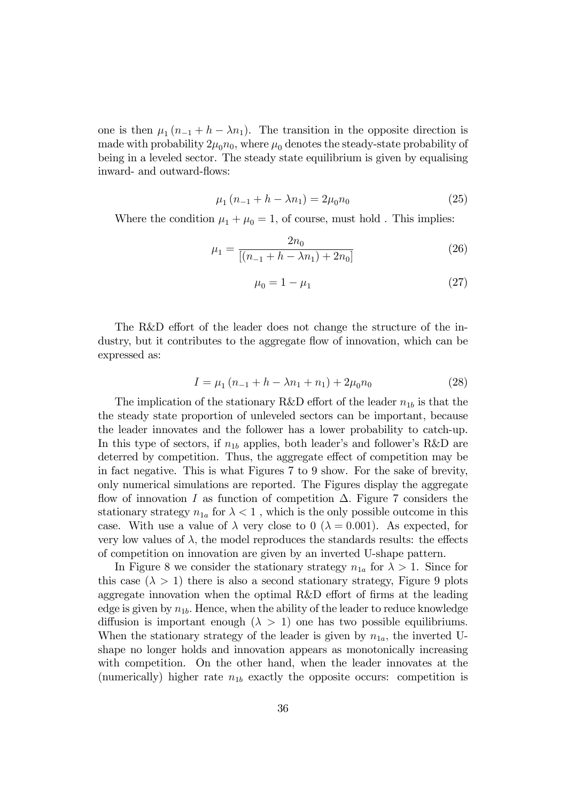one is then  $\mu_1 (n_{-1} + h - \lambda n_1)$ . The transition in the opposite direction is made with probability  $2\mu_0 n_0$ , where  $\mu_0$  denotes the steady-state probability of being in a leveled sector. The steady state equilibrium is given by equalising inward- and outward-flows:

$$
\mu_1 (n_{-1} + h - \lambda n_1) = 2\mu_0 n_0 \tag{25}
$$

Where the condition  $\mu_1 + \mu_0 = 1$ , of course, must hold . This implies:

$$
\mu_1 = \frac{2n_0}{[(n_{-1} + h - \lambda n_1) + 2n_0]}
$$
\n(26)

$$
\mu_0 = 1 - \mu_1 \tag{27}
$$

The R&D effort of the leader does not change the structure of the industry, but it contributes to the aggregate flow of innovation, which can be expressed as:

$$
I = \mu_1 (n_{-1} + h - \lambda n_1 + n_1) + 2\mu_0 n_0 \tag{28}
$$

The implication of the stationary R&D effort of the leader  $n_{1b}$  is that the the steady state proportion of unleveled sectors can be important, because the leader innovates and the follower has a lower probability to catch-up. In this type of sectors, if  $n_{1b}$  applies, both leader's and follower's R&D are deterred by competition. Thus, the aggregate effect of competition may be in fact negative. This is what Figures 7 to 9 show. For the sake of brevity, only numerical simulations are reported. The Figures display the aggregate flow of innovation I as function of competition  $\Delta$ . Figure 7 considers the stationary strategy  $n_{1a}$  for  $\lambda < 1$ , which is the only possible outcome in this case. With use a value of  $\lambda$  very close to 0 ( $\lambda = 0.001$ ). As expected, for very low values of  $\lambda$ , the model reproduces the standards results: the effects of competition on innovation are given by an inverted U-shape pattern.

In Figure 8 we consider the stationary strategy  $n_{1a}$  for  $\lambda > 1$ . Since for this case  $(\lambda > 1)$  there is also a second stationary strategy, Figure 9 plots aggregate innovation when the optimal R&D effort of firms at the leading edge is given by  $n_{1b}$ . Hence, when the ability of the leader to reduce knowledge diffusion is important enough  $(\lambda > 1)$  one has two possible equilibriums. When the stationary strategy of the leader is given by  $n_{1a}$ , the inverted Ushape no longer holds and innovation appears as monotonically increasing with competition. On the other hand, when the leader innovates at the (numerically) higher rate  $n_{1b}$  exactly the opposite occurs: competition is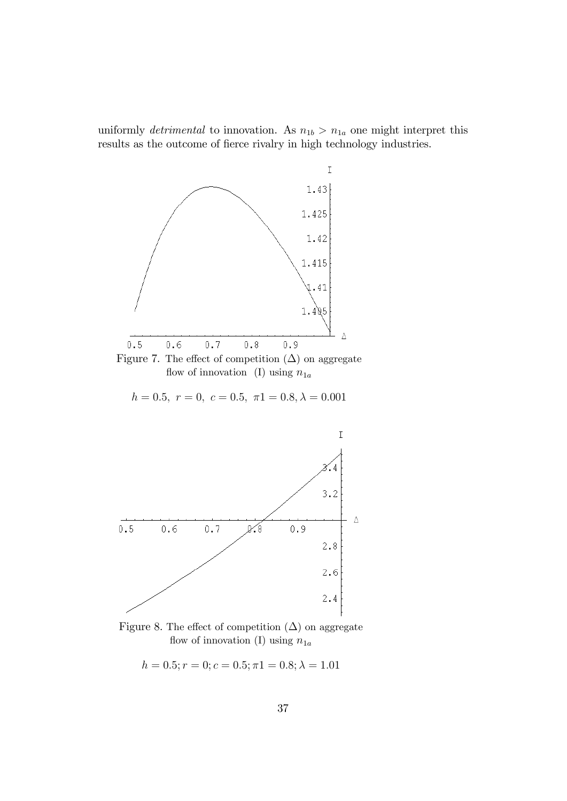uniformly *detrimental* to innovation. As  $n_{1b} > n_{1a}$  one might interpret this results as the outcome of fierce rivalry in high technology industries.



Figure 7. The effect of competition  $(\Delta)$  on aggregate flow of innovation (I) using  $n_{1a}$ 

 $h = 0.5, r = 0, c = 0.5, \pi 1 = 0.8, \lambda = 0.001$ 



Figure 8. The effect of competition  $(\Delta)$  on aggregate flow of innovation (I) using  $n_{1a}$ 

$$
h = 0.5; r = 0; c = 0.5; \pi 1 = 0.8; \lambda = 1.01
$$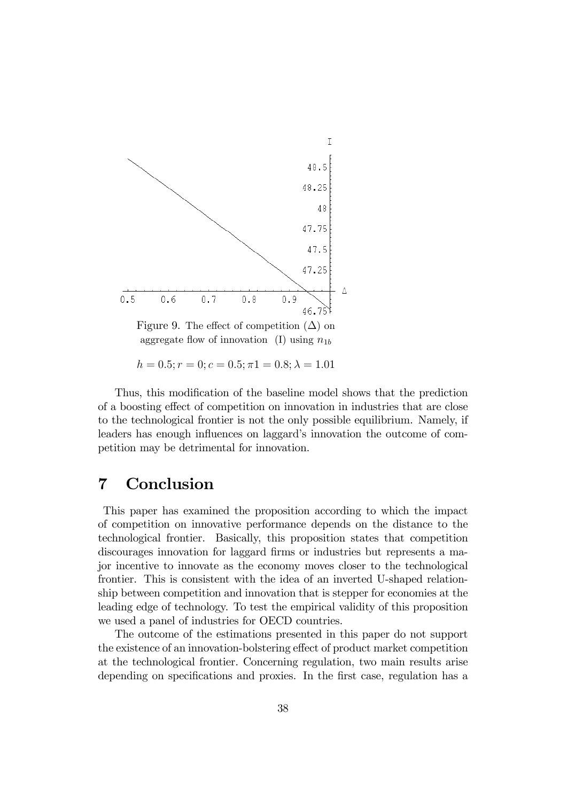

Figure 9. The effect of competition  $(\Delta)$  on aggregate flow of innovation (I) using  $n_{1b}$ 

 $h = 0.5; r = 0; c = 0.5; \pi 1 = 0.8; \lambda = 1.01$ 

Thus, this modification of the baseline model shows that the prediction of a boosting effect of competition on innovation in industries that are close to the technological frontier is not the only possible equilibrium. Namely, if leaders has enough influences on laggard's innovation the outcome of competition may be detrimental for innovation.

# 7 Conclusion

This paper has examined the proposition according to which the impact of competition on innovative performance depends on the distance to the technological frontier. Basically, this proposition states that competition discourages innovation for laggard firms or industries but represents a major incentive to innovate as the economy moves closer to the technological frontier. This is consistent with the idea of an inverted U-shaped relationship between competition and innovation that is stepper for economies at the leading edge of technology. To test the empirical validity of this proposition we used a panel of industries for OECD countries.

The outcome of the estimations presented in this paper do not support the existence of an innovation-bolstering effect of product market competition at the technological frontier. Concerning regulation, two main results arise depending on specifications and proxies. In the first case, regulation has a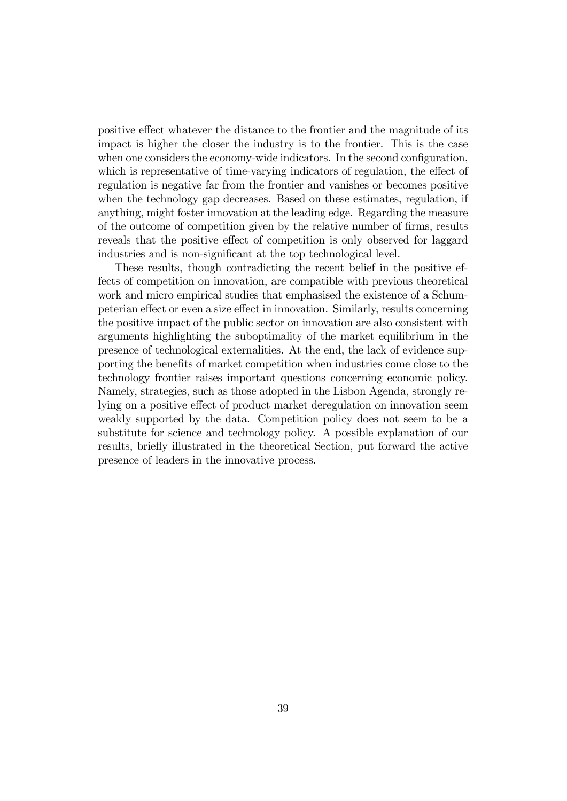positive effect whatever the distance to the frontier and the magnitude of its impact is higher the closer the industry is to the frontier. This is the case when one considers the economy-wide indicators. In the second configuration, which is representative of time-varying indicators of regulation, the effect of regulation is negative far from the frontier and vanishes or becomes positive when the technology gap decreases. Based on these estimates, regulation, if anything, might foster innovation at the leading edge. Regarding the measure of the outcome of competition given by the relative number of firms, results reveals that the positive effect of competition is only observed for laggard industries and is non-significant at the top technological level.

These results, though contradicting the recent belief in the positive effects of competition on innovation, are compatible with previous theoretical work and micro empirical studies that emphasised the existence of a Schumpeterian effect or even a size effect in innovation. Similarly, results concerning the positive impact of the public sector on innovation are also consistent with arguments highlighting the suboptimality of the market equilibrium in the presence of technological externalities. At the end, the lack of evidence supporting the benefits of market competition when industries come close to the technology frontier raises important questions concerning economic policy. Namely, strategies, such as those adopted in the Lisbon Agenda, strongly relying on a positive effect of product market deregulation on innovation seem weakly supported by the data. Competition policy does not seem to be a substitute for science and technology policy. A possible explanation of our results, briefly illustrated in the theoretical Section, put forward the active presence of leaders in the innovative process.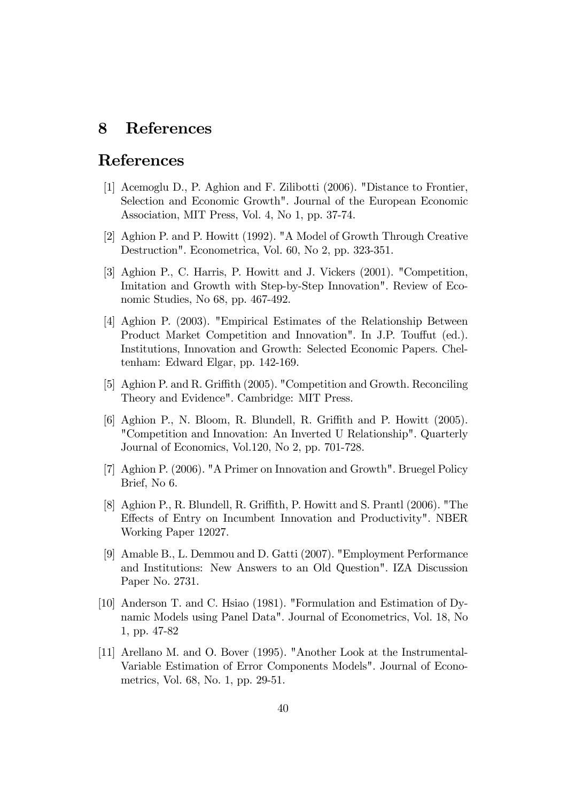# 8 References

# References

- [1] Acemoglu D., P. Aghion and F. Zilibotti (2006). "Distance to Frontier, Selection and Economic Growth". Journal of the European Economic Association, MIT Press, Vol. 4, No 1, pp. 37-74.
- [2] Aghion P. and P. Howitt (1992). "A Model of Growth Through Creative Destruction". Econometrica, Vol. 60, No 2, pp. 323-351.
- [3] Aghion P., C. Harris, P. Howitt and J. Vickers (2001). "Competition, Imitation and Growth with Step-by-Step Innovation". Review of Economic Studies, No 68, pp. 467-492.
- [4] Aghion P. (2003). "Empirical Estimates of the Relationship Between Product Market Competition and Innovation". In J.P. Touffut (ed.). Institutions, Innovation and Growth: Selected Economic Papers. Cheltenham: Edward Elgar, pp. 142-169.
- [5] Aghion P. and R. Griffith (2005). "Competition and Growth. Reconciling Theory and Evidence". Cambridge: MIT Press.
- [6] Aghion P., N. Bloom, R. Blundell, R. Griffith and P. Howitt  $(2005)$ . "Competition and Innovation: An Inverted U Relationship". Quarterly Journal of Economics, Vol.120, No 2, pp. 701-728.
- [7] Aghion P. (2006). "A Primer on Innovation and Growth". Bruegel Policy Brief, No 6.
- [8] Aghion P., R. Blundell, R. Griffith, P. Howitt and S. Prantl (2006). "The Effects of Entry on Incumbent Innovation and Productivity". NBER Working Paper 12027.
- [9] Amable B., L. Demmou and D. Gatti (2007). "Employment Performance and Institutions: New Answers to an Old Question". IZA Discussion Paper No. 2731.
- [10] Anderson T. and C. Hsiao (1981). "Formulation and Estimation of Dynamic Models using Panel Data". Journal of Econometrics, Vol. 18, No 1, pp. 47-82
- [11] Arellano M. and O. Bover (1995). "Another Look at the Instrumental-Variable Estimation of Error Components Models". Journal of Econometrics, Vol. 68, No. 1, pp. 29-51.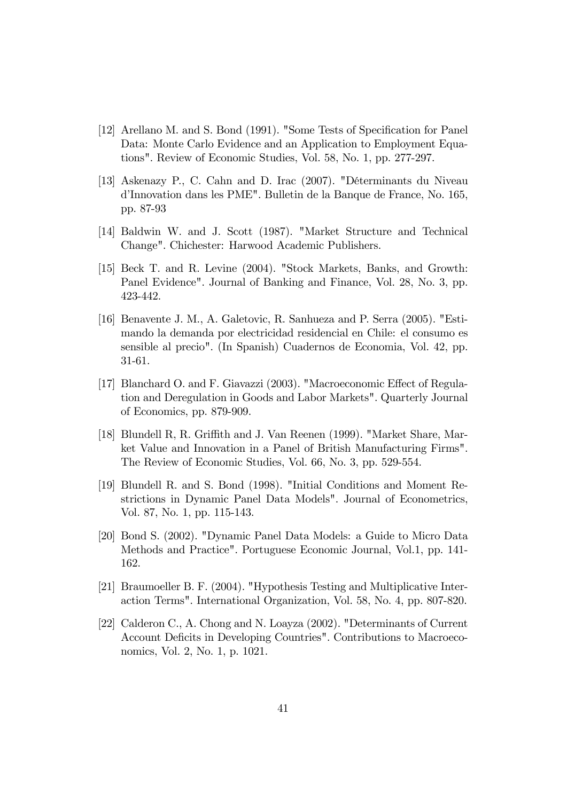- [12] Arellano M. and S. Bond (1991). "Some Tests of Specification for Panel Data: Monte Carlo Evidence and an Application to Employment Equations". Review of Economic Studies, Vol. 58, No. 1, pp. 277-297.
- [13] Askenazy P., C. Cahn and D. Irac (2007). "Déterminants du Niveau díInnovation dans les PME". Bulletin de la Banque de France, No. 165, pp. 87-93
- [14] Baldwin W. and J. Scott (1987). "Market Structure and Technical Change". Chichester: Harwood Academic Publishers.
- [15] Beck T. and R. Levine (2004). "Stock Markets, Banks, and Growth: Panel Evidence". Journal of Banking and Finance, Vol. 28, No. 3, pp. 423-442.
- [16] Benavente J. M., A. Galetovic, R. Sanhueza and P. Serra (2005). "Estimando la demanda por electricidad residencial en Chile: el consumo es sensible al precio". (In Spanish) Cuadernos de Economia, Vol. 42, pp. 31-61.
- [17] Blanchard O. and F. Giavazzi (2003). "Macroeconomic Effect of Regulation and Deregulation in Goods and Labor Markets". Quarterly Journal of Economics, pp. 879-909.
- [18] Blundell R, R. Griffith and J. Van Reenen (1999). "Market Share, Market Value and Innovation in a Panel of British Manufacturing Firms". The Review of Economic Studies, Vol. 66, No. 3, pp. 529-554.
- [19] Blundell R. and S. Bond (1998). "Initial Conditions and Moment Restrictions in Dynamic Panel Data Models". Journal of Econometrics, Vol. 87, No. 1, pp. 115-143.
- [20] Bond S. (2002). "Dynamic Panel Data Models: a Guide to Micro Data Methods and Practice". Portuguese Economic Journal, Vol.1, pp. 141- 162.
- [21] Braumoeller B. F. (2004). "Hypothesis Testing and Multiplicative Interaction Terms". International Organization, Vol. 58, No. 4, pp. 807-820.
- [22] Calderon C., A. Chong and N. Loayza (2002). "Determinants of Current Account Deficits in Developing Countries". Contributions to Macroeconomics, Vol. 2, No. 1, p. 1021.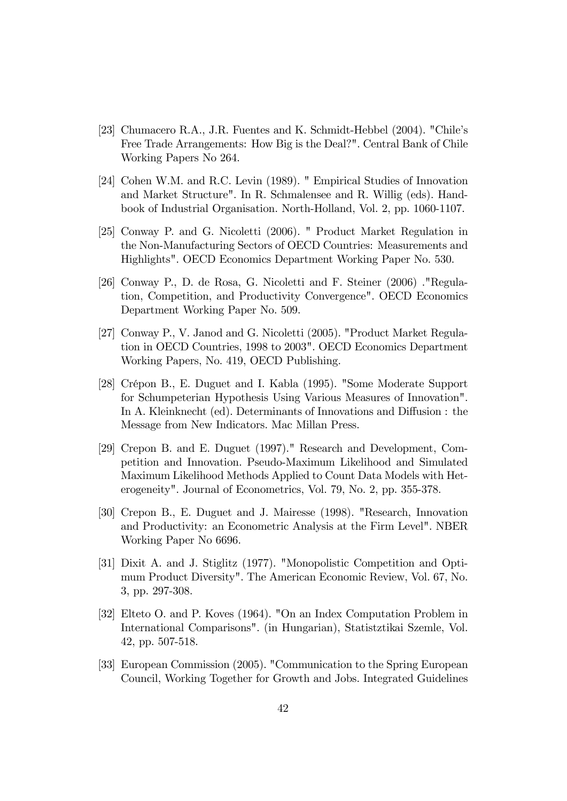- [23] Chumacero R.A., J.R. Fuentes and K. Schmidt-Hebbel (2004). "Chile's Free Trade Arrangements: How Big is the Deal?". Central Bank of Chile Working Papers No 264.
- [24] Cohen W.M. and R.C. Levin (1989). " Empirical Studies of Innovation and Market Structure". In R. Schmalensee and R. Willig (eds). Handbook of Industrial Organisation. North-Holland, Vol. 2, pp. 1060-1107.
- [25] Conway P. and G. Nicoletti (2006). " Product Market Regulation in the Non-Manufacturing Sectors of OECD Countries: Measurements and Highlights". OECD Economics Department Working Paper No. 530.
- [26] Conway P., D. de Rosa, G. Nicoletti and F. Steiner (2006) ."Regulation, Competition, and Productivity Convergence". OECD Economics Department Working Paper No. 509.
- [27] Conway P., V. Janod and G. Nicoletti (2005). "Product Market Regulation in OECD Countries, 1998 to 2003". OECD Economics Department Working Papers, No. 419, OECD Publishing.
- [28] Crépon B., E. Duguet and I. Kabla (1995). "Some Moderate Support for Schumpeterian Hypothesis Using Various Measures of Innovation". In A. Kleinknecht (ed). Determinants of Innovations and Diffusion : the Message from New Indicators. Mac Millan Press.
- [29] Crepon B. and E. Duguet (1997)." Research and Development, Competition and Innovation. Pseudo-Maximum Likelihood and Simulated Maximum Likelihood Methods Applied to Count Data Models with Heterogeneity". Journal of Econometrics, Vol. 79, No. 2, pp. 355-378.
- [30] Crepon B., E. Duguet and J. Mairesse (1998). "Research, Innovation and Productivity: an Econometric Analysis at the Firm Level". NBER Working Paper No 6696.
- [31] Dixit A. and J. Stiglitz (1977). "Monopolistic Competition and Optimum Product Diversity". The American Economic Review, Vol. 67, No. 3, pp. 297-308.
- [32] Elteto O. and P. Koves (1964). "On an Index Computation Problem in International Comparisons". (in Hungarian), Statistztikai Szemle, Vol. 42, pp. 507-518.
- [33] European Commission (2005). "Communication to the Spring European Council, Working Together for Growth and Jobs. Integrated Guidelines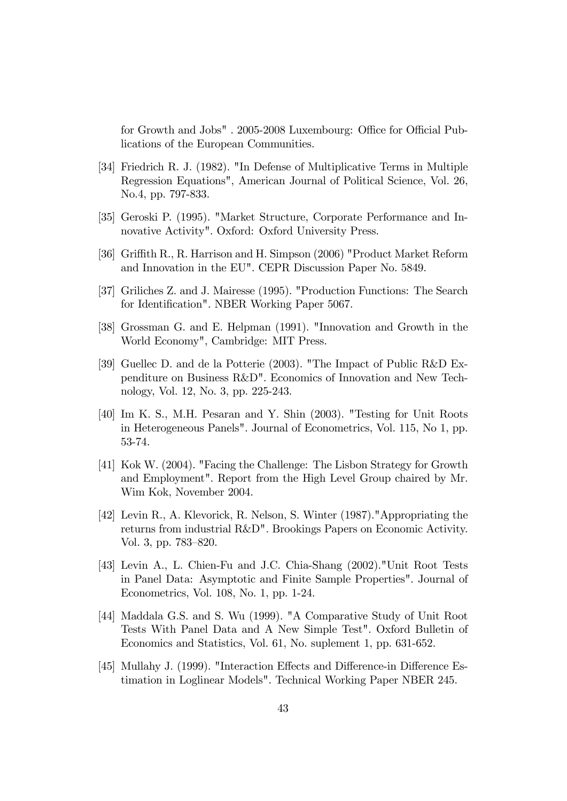for Growth and Jobs". 2005-2008 Luxembourg: Office for Official Publications of the European Communities.

- [34] Friedrich R. J. (1982). "In Defense of Multiplicative Terms in Multiple Regression Equations", American Journal of Political Science, Vol. 26, No.4, pp. 797-833.
- [35] Geroski P. (1995). "Market Structure, Corporate Performance and Innovative Activity". Oxford: Oxford University Press.
- [36] Griffith R., R. Harrison and H. Simpson (2006) "Product Market Reform and Innovation in the EU". CEPR Discussion Paper No. 5849.
- [37] Griliches Z. and J. Mairesse (1995). "Production Functions: The Search for Identification". NBER Working Paper 5067.
- [38] Grossman G. and E. Helpman (1991). "Innovation and Growth in the World Economy", Cambridge: MIT Press.
- [39] Guellec D. and de la Potterie (2003). "The Impact of Public R&D Expenditure on Business R&D". Economics of Innovation and New Technology, Vol. 12, No. 3, pp. 225-243.
- [40] Im K. S., M.H. Pesaran and Y. Shin (2003). "Testing for Unit Roots in Heterogeneous Panels". Journal of Econometrics, Vol. 115, No 1, pp. 53-74.
- [41] Kok W. (2004). "Facing the Challenge: The Lisbon Strategy for Growth and Employment". Report from the High Level Group chaired by Mr. Wim Kok, November 2004.
- [42] Levin R., A. Klevorick, R. Nelson, S. Winter (1987)."Appropriating the returns from industrial R&D". Brookings Papers on Economic Activity. Vol. 3, pp. 783–820.
- [43] Levin A., L. Chien-Fu and J.C. Chia-Shang (2002)."Unit Root Tests in Panel Data: Asymptotic and Finite Sample Properties". Journal of Econometrics, Vol. 108, No. 1, pp. 1-24.
- [44] Maddala G.S. and S. Wu (1999). "A Comparative Study of Unit Root Tests With Panel Data and A New Simple Test". Oxford Bulletin of Economics and Statistics, Vol. 61, No. suplement 1, pp. 631-652.
- [45] Mullahy J. (1999). "Interaction Effects and Difference-in Difference Estimation in Loglinear Models". Technical Working Paper NBER 245.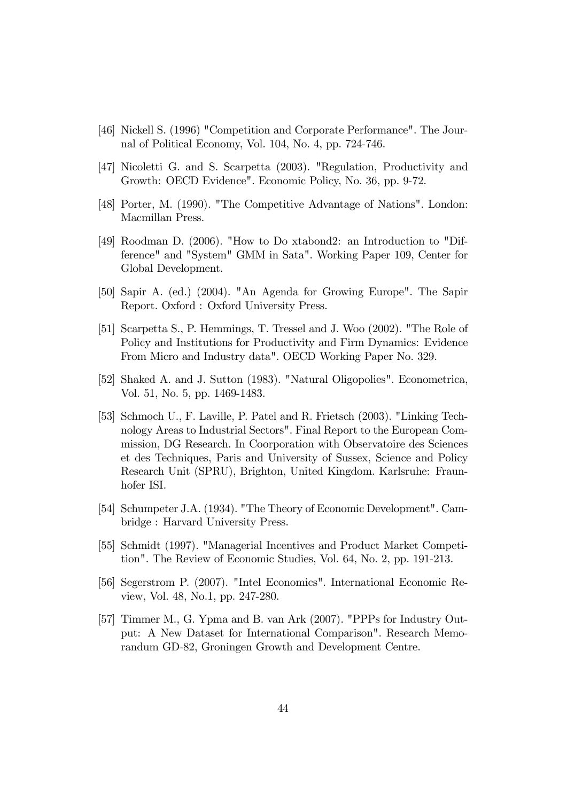- [46] Nickell S. (1996) "Competition and Corporate Performance". The Journal of Political Economy, Vol. 104, No. 4, pp. 724-746.
- [47] Nicoletti G. and S. Scarpetta (2003). "Regulation, Productivity and Growth: OECD Evidence". Economic Policy, No. 36, pp. 9-72.
- [48] Porter, M. (1990). "The Competitive Advantage of Nations". London: Macmillan Press.
- [49] Roodman D. (2006). "How to Do xtabond2: an Introduction to "Difference" and "System" GMM in Sata". Working Paper 109, Center for Global Development.
- [50] Sapir A. (ed.) (2004). "An Agenda for Growing Europe". The Sapir Report. Oxford : Oxford University Press.
- [51] Scarpetta S., P. Hemmings, T. Tressel and J. Woo (2002). "The Role of Policy and Institutions for Productivity and Firm Dynamics: Evidence From Micro and Industry data". OECD Working Paper No. 329.
- [52] Shaked A. and J. Sutton (1983). "Natural Oligopolies". Econometrica, Vol. 51, No. 5, pp. 1469-1483.
- [53] Schmoch U., F. Laville, P. Patel and R. Frietsch (2003). "Linking Technology Areas to Industrial Sectors". Final Report to the European Commission, DG Research. In Coorporation with Observatoire des Sciences et des Techniques, Paris and University of Sussex, Science and Policy Research Unit (SPRU), Brighton, United Kingdom. Karlsruhe: Fraunhofer ISI.
- [54] Schumpeter J.A. (1934). "The Theory of Economic Development". Cambridge : Harvard University Press.
- [55] Schmidt (1997). "Managerial Incentives and Product Market Competition". The Review of Economic Studies, Vol. 64, No. 2, pp. 191-213.
- [56] Segerstrom P. (2007). "Intel Economics". International Economic Review, Vol. 48, No.1, pp. 247-280.
- [57] Timmer M., G. Ypma and B. van Ark (2007). "PPPs for Industry Output: A New Dataset for International Comparison". Research Memorandum GD-82, Groningen Growth and Development Centre.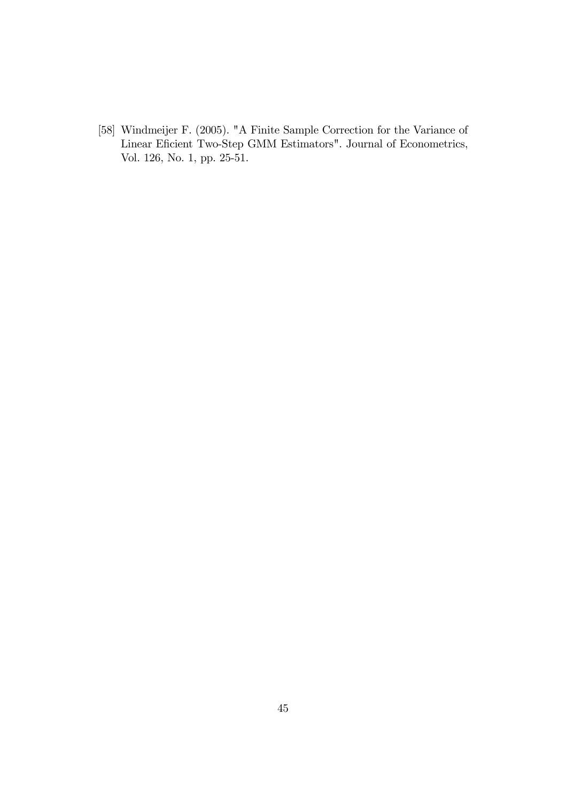[58] Windmeijer F. (2005). "A Finite Sample Correction for the Variance of Linear Eficient Two-Step GMM Estimators". Journal of Econometrics, Vol. 126, No. 1, pp. 25-51.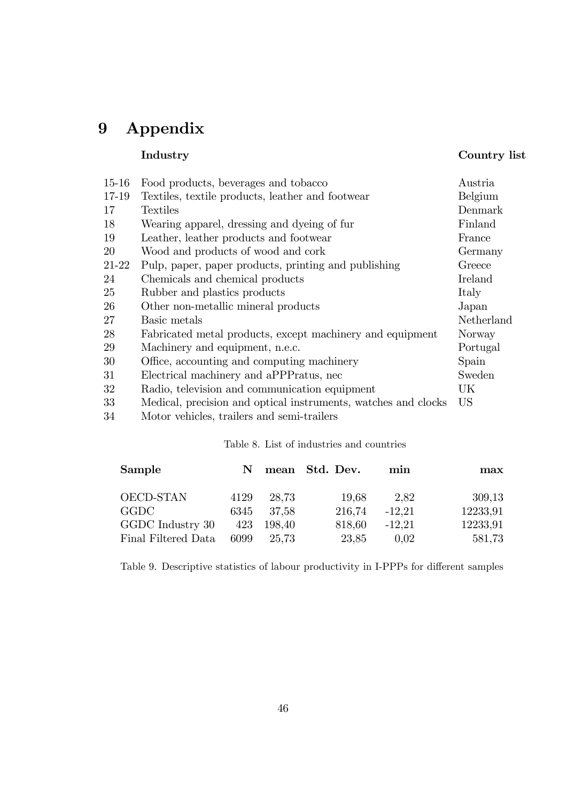# 9 Appendix

### Industry Country list

| $15 - 16$ | Food products, beverages and tobacco                           | Austria    |
|-----------|----------------------------------------------------------------|------------|
| 17-19     | Textiles, textile products, leather and footwear               | Belgium    |
| 17        | Textiles                                                       | Denmark    |
| 18        | Wearing apparel, dressing and dyeing of fur                    | Finland    |
| 19        | Leather, leather products and footwear                         | France     |
| 20        | Wood and products of wood and cork                             | Germany    |
| 21-22     | Pulp, paper, paper products, printing and publishing           | Greece     |
| 24        | Chemicals and chemical products                                | Ireland    |
| 25        | Rubber and plastics products                                   | Italy      |
| 26        | Other non-metallic mineral products                            | Japan      |
| 27        | Basic metals                                                   | Netherland |
| 28        | Fabricated metal products, except machinery and equipment      | Norway     |
| 29        | Machinery and equipment, n.e.c.                                | Portugal   |
| 30        | Office, accounting and computing machinery                     | Spain      |
| 31        | Electrical machinery and aPPPratus, nec                        | Sweden     |
| 32        | Radio, television and communication equipment                  | UK         |
| 33        | Medical, precision and optical instruments, watches and clocks | US         |
| 34        | Motor vehicles, trailers and semi-trailers                     |            |

#### Table 8. List of industries and countries

| Sample              | N.   |        | mean Std. Dev. | min      | max      |
|---------------------|------|--------|----------------|----------|----------|
| OECD-STAN           | 4129 | 28.73  | 19.68          | 2.82     | 309,13   |
| <b>GGDC</b>         | 6345 | 37.58  | 216,74         | $-12,21$ | 12233,91 |
| GGDC Industry 30    | 423  | 198,40 | 818,60         | $-12,21$ | 12233,91 |
| Final Filtered Data | 6099 | 25,73  | 23,85          | 0.02     | 581,73   |

Table 9. Descriptive statistics of labour productivity in I-PPPs for different samples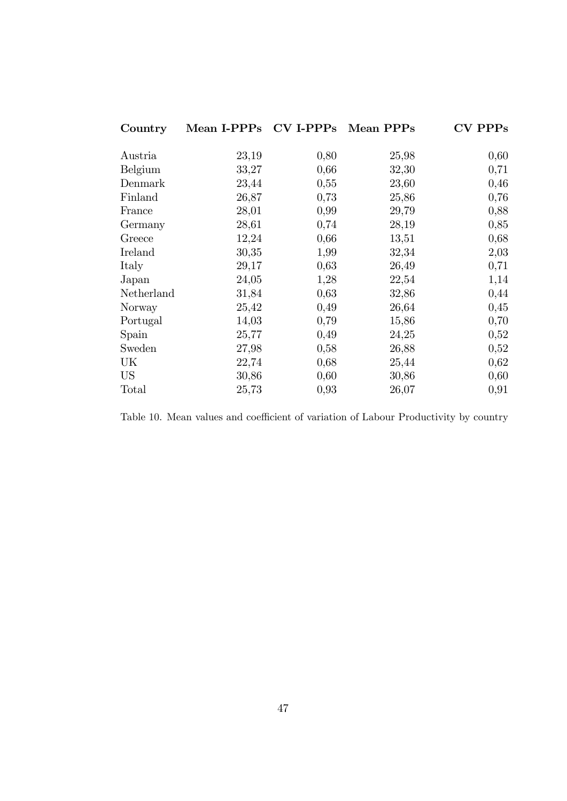| Country    | Mean I-PPPs CV I-PPPs Mean PPPs |      |       | <b>CV PPPs</b> |
|------------|---------------------------------|------|-------|----------------|
| Austria    | 23,19                           | 0,80 | 25,98 | 0,60           |
| Belgium    | 33,27                           | 0,66 | 32,30 | 0,71           |
|            |                                 |      |       |                |
| Denmark    | 23,44                           | 0,55 | 23,60 | 0,46           |
| Finland    | 26,87                           | 0,73 | 25,86 | 0,76           |
| France     | 28,01                           | 0,99 | 29,79 | 0,88           |
| Germany    | 28,61                           | 0,74 | 28,19 | 0,85           |
| Greece     | 12,24                           | 0,66 | 13,51 | 0,68           |
| Ireland    | 30,35                           | 1,99 | 32,34 | 2,03           |
| Italy      | 29,17                           | 0,63 | 26,49 | 0,71           |
| Japan      | 24,05                           | 1,28 | 22,54 | 1,14           |
| Netherland | 31,84                           | 0,63 | 32,86 | 0,44           |
| Norway     | 25,42                           | 0,49 | 26,64 | 0,45           |
| Portugal   | 14,03                           | 0,79 | 15,86 | 0,70           |
| Spain      | 25,77                           | 0,49 | 24,25 | 0,52           |
| Sweden     | 27,98                           | 0,58 | 26,88 | 0,52           |
| UK         | 22,74                           | 0,68 | 25,44 | 0,62           |
| <b>US</b>  | 30,86                           | 0,60 | 30,86 | 0,60           |
| Total      | 25,73                           | 0,93 | 26,07 | 0,91           |

Table 10. Mean values and coefficient of variation of Labour Productivity by country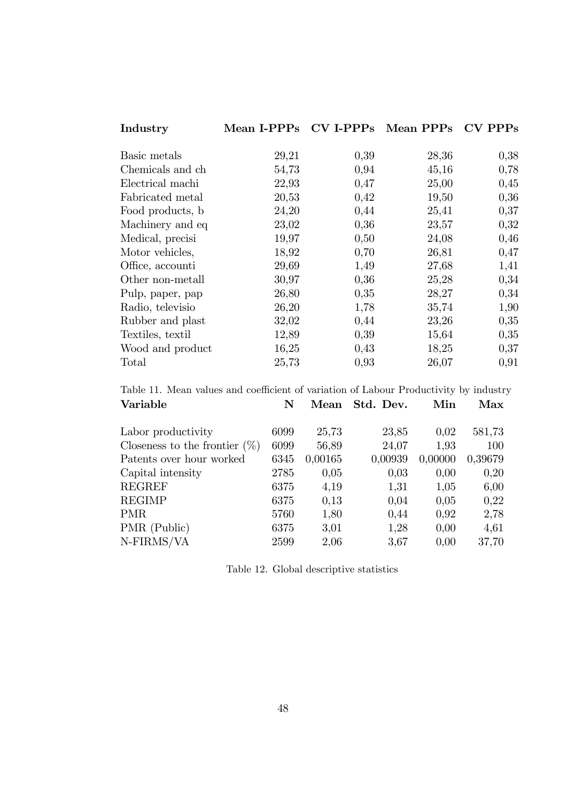| Industry         | Mean I-PPPs |      | $CV$ I-PPPs Mean PPPs | $CV$ PPPs |
|------------------|-------------|------|-----------------------|-----------|
|                  |             |      |                       |           |
| Basic metals     | 29,21       | 0,39 | 28,36                 | 0,38      |
| Chemicals and ch | 54,73       | 0,94 | 45,16                 | 0,78      |
| Electrical machi | 22,93       | 0,47 | 25,00                 | 0,45      |
| Fabricated metal | 20,53       | 0,42 | 19,50                 | 0,36      |
| Food products, b | 24,20       | 0,44 | 25,41                 | 0,37      |
| Machinery and eq | 23,02       | 0,36 | 23,57                 | 0,32      |
| Medical, precisi | 19,97       | 0,50 | 24,08                 | 0,46      |
| Motor vehicles,  | 18,92       | 0,70 | 26,81                 | 0,47      |
| Office, accounti | 29,69       | 1,49 | 27,68                 | 1,41      |
| Other non-metall | 30,97       | 0,36 | 25,28                 | 0,34      |
| Pulp, paper, pap | 26,80       | 0,35 | 28,27                 | 0,34      |
| Radio, televisio | 26,20       | 1,78 | 35,74                 | 1,90      |
| Rubber and plast | 32,02       | 0,44 | 23,26                 | 0,35      |
| Textiles, textil | 12,89       | 0,39 | 15,64                 | 0,35      |
| Wood and product | 16,25       | 0,43 | 18,25                 | 0,37      |
| Total            | 25,73       | 0,93 | 26,07                 | 0,91      |

Table 11. Mean values and coefficient of variation of Labour Productivity by industry Variable N Mean Std. Dev. Min Max

| Labor productivity               | 6099 | 25,73   | 23,85   | 0,02    | 581,73  |
|----------------------------------|------|---------|---------|---------|---------|
| Closeness to the frontier $(\%)$ | 6099 | 56,89   | 24,07   | 1,93    | 100     |
| Patents over hour worked         | 6345 | 0,00165 | 0,00939 | 0,00000 | 0,39679 |
| Capital intensity                | 2785 | 0,05    | 0,03    | 0,00    | 0,20    |
| <b>REGREF</b>                    | 6375 | 4,19    | 1,31    | 1,05    | 6,00    |
| <b>REGIMP</b>                    | 6375 | 0,13    | 0,04    | 0,05    | 0,22    |
| <b>PMR</b>                       | 5760 | 1,80    | 0,44    | 0,92    | 2,78    |
| PMR (Public)                     | 6375 | 3,01    | 1,28    | 0,00    | 4,61    |
| N-FIRMS/VA                       | 2599 | 2,06    | 3,67    | 0,00    | 37,70   |

Table 12. Global descriptive statistics